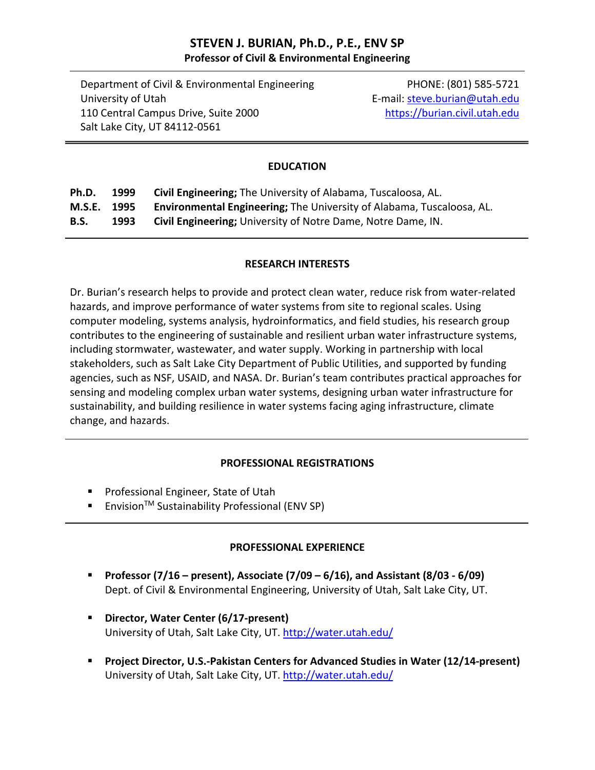# **STEVEN J. BURIAN, Ph.D., P.E., ENV SP Professor of Civil & Environmental Engineering**

Department of Civil & Environmental Engineering PHONE: (801) 585-5721 University of Utah **E**-mail: steve.burian@utah.edu 110 Central Campus Drive, Suite 2000 https://burian.civil.utah.edu Salt Lake City, UT 84112‐0561

#### **EDUCATION**

| Ph.D.       | 1999 | <b>Civil Engineering;</b> The University of Alabama, Tuscaloosa, AL.         |
|-------------|------|------------------------------------------------------------------------------|
| M.S.E. 1995 |      | <b>Environmental Engineering;</b> The University of Alabama, Tuscaloosa, AL. |
| <b>B.S.</b> | 1993 | <b>Civil Engineering;</b> University of Notre Dame, Notre Dame, IN.          |

#### **RESEARCH INTERESTS**

Dr. Burian's research helps to provide and protect clean water, reduce risk from water‐related hazards, and improve performance of water systems from site to regional scales. Using computer modeling, systems analysis, hydroinformatics, and field studies, his research group contributes to the engineering of sustainable and resilient urban water infrastructure systems, including stormwater, wastewater, and water supply. Working in partnership with local stakeholders, such as Salt Lake City Department of Public Utilities, and supported by funding agencies, such as NSF, USAID, and NASA. Dr. Burian's team contributes practical approaches for sensing and modeling complex urban water systems, designing urban water infrastructure for sustainability, and building resilience in water systems facing aging infrastructure, climate change, and hazards.

#### **PROFESSIONAL REGISTRATIONS**

- **Professional Engineer, State of Utah**
- Envision<sup>™</sup> Sustainability Professional (ENV SP)

#### **PROFESSIONAL EXPERIENCE**

- **Professor (7/16 – present), Associate (7/09 – 6/16), and Assistant (8/03 ‐ 6/09)** Dept. of Civil & Environmental Engineering, University of Utah, Salt Lake City, UT.
- **Director, Water Center (6/17‐present)** University of Utah, Salt Lake City, UT. http://water.utah.edu/
- **Project Director, U.S.‐Pakistan Centers for Advanced Studies in Water (12/14‐present)** University of Utah, Salt Lake City, UT. http://water.utah.edu/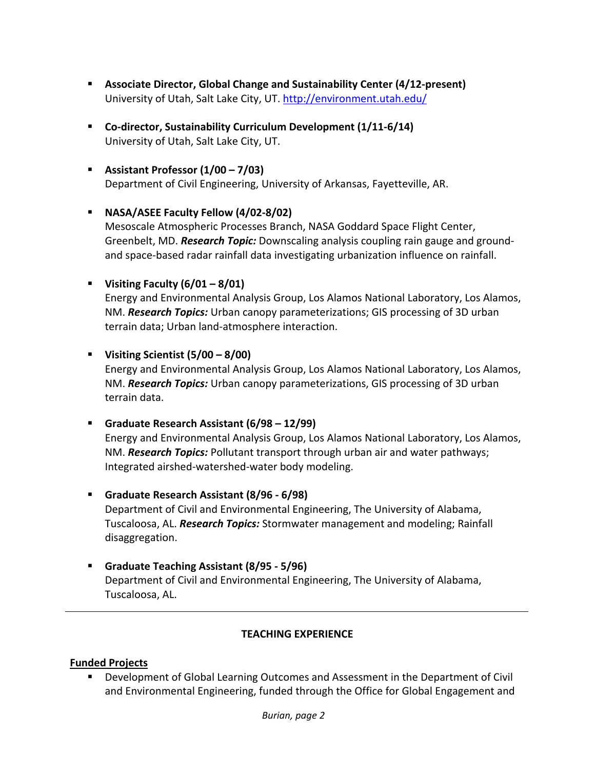- **Associate Director, Global Change and Sustainability Center (4/12‐present)** University of Utah, Salt Lake City, UT. http://environment.utah.edu/
- **Co‐director, Sustainability Curriculum Development (1/11‐6/14)** University of Utah, Salt Lake City, UT.
- **Assistant Professor (1/00 – 7/03)** Department of Civil Engineering, University of Arkansas, Fayetteville, AR.

### **NASA/ASEE Faculty Fellow (4/02‐8/02)**

Mesoscale Atmospheric Processes Branch, NASA Goddard Space Flight Center, Greenbelt, MD. *Research Topic:* Downscaling analysis coupling rain gauge and ground‐ and space‐based radar rainfall data investigating urbanization influence on rainfall.

### **Visiting Faculty (6/01 – 8/01)**

Energy and Environmental Analysis Group, Los Alamos National Laboratory, Los Alamos, NM. *Research Topics:* Urban canopy parameterizations; GIS processing of 3D urban terrain data; Urban land‐atmosphere interaction.

**Visiting Scientist (5/00 – 8/00)**

Energy and Environmental Analysis Group, Los Alamos National Laboratory, Los Alamos, NM. *Research Topics:* Urban canopy parameterizations, GIS processing of 3D urban terrain data.

**Graduate Research Assistant (6/98 – 12/99)**

Energy and Environmental Analysis Group, Los Alamos National Laboratory, Los Alamos, NM. *Research Topics:* Pollutant transport through urban air and water pathways; Integrated airshed‐watershed‐water body modeling.

- **Graduate Research Assistant (8/96 ‐ 6/98)** Department of Civil and Environmental Engineering, The University of Alabama, Tuscaloosa, AL. *Research Topics:* Stormwater management and modeling; Rainfall disaggregation.
- **Graduate Teaching Assistant (8/95 ‐ 5/96)** Department of Civil and Environmental Engineering, The University of Alabama, Tuscaloosa, AL.

# **TEACHING EXPERIENCE**

#### **Funded Projects**

 Development of Global Learning Outcomes and Assessment in the Department of Civil and Environmental Engineering, funded through the Office for Global Engagement and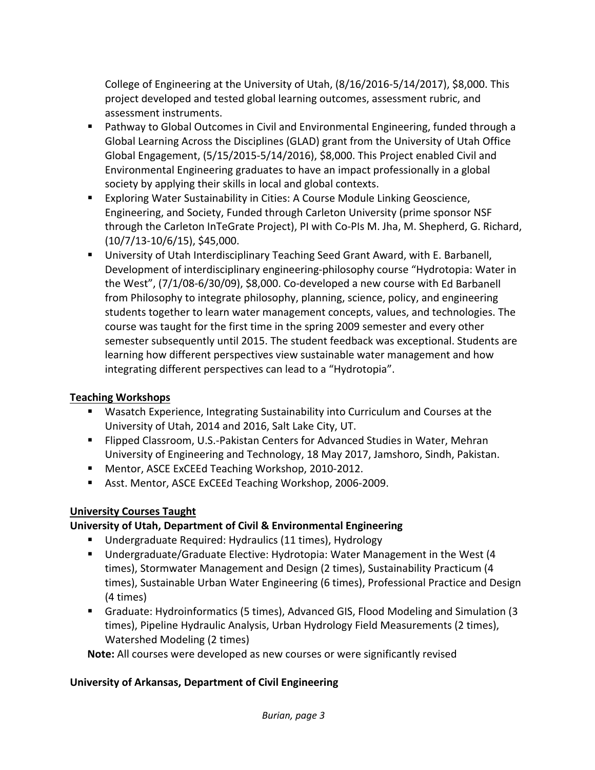College of Engineering at the University of Utah, (8/16/2016‐5/14/2017), \$8,000. This project developed and tested global learning outcomes, assessment rubric, and assessment instruments.

- **Pathway to Global Outcomes in Civil and Environmental Engineering, funded through a** Global Learning Across the Disciplines (GLAD) grant from the University of Utah Office Global Engagement, (5/15/2015‐5/14/2016), \$8,000. This Project enabled Civil and Environmental Engineering graduates to have an impact professionally in a global society by applying their skills in local and global contexts.
- Exploring Water Sustainability in Cities: A Course Module Linking Geoscience, Engineering, and Society, Funded through Carleton University (prime sponsor NSF through the Carleton InTeGrate Project), PI with Co‐PIs M. Jha, M. Shepherd, G. Richard, (10/7/13‐10/6/15), \$45,000.
- University of Utah Interdisciplinary Teaching Seed Grant Award, with E. Barbanell, Development of interdisciplinary engineering‐philosophy course "Hydrotopia: Water in the West", (7/1/08‐6/30/09), \$8,000. Co‐developed a new course with Ed Barbanell from Philosophy to integrate philosophy, planning, science, policy, and engineering students together to learn water management concepts, values, and technologies. The course was taught for the first time in the spring 2009 semester and every other semester subsequently until 2015. The student feedback was exceptional. Students are learning how different perspectives view sustainable water management and how integrating different perspectives can lead to a "Hydrotopia".

# **Teaching Workshops**

- Wasatch Experience, Integrating Sustainability into Curriculum and Courses at the University of Utah, 2014 and 2016, Salt Lake City, UT.
- Flipped Classroom, U.S.-Pakistan Centers for Advanced Studies in Water, Mehran University of Engineering and Technology, 18 May 2017, Jamshoro, Sindh, Pakistan.
- Mentor, ASCE ExCEEd Teaching Workshop, 2010-2012.
- Asst. Mentor, ASCE ExCEEd Teaching Workshop, 2006-2009.

# **University Courses Taught**

# **University of Utah, Department of Civil & Environmental Engineering**

- Undergraduate Required: Hydraulics (11 times), Hydrology
- Undergraduate/Graduate Elective: Hydrotopia: Water Management in the West (4 times), Stormwater Management and Design (2 times), Sustainability Practicum (4 times), Sustainable Urban Water Engineering (6 times), Professional Practice and Design (4 times)
- Graduate: Hydroinformatics (5 times), Advanced GIS, Flood Modeling and Simulation (3 times), Pipeline Hydraulic Analysis, Urban Hydrology Field Measurements (2 times), Watershed Modeling (2 times)

**Note:** All courses were developed as new courses or were significantly revised

# **University of Arkansas, Department of Civil Engineering**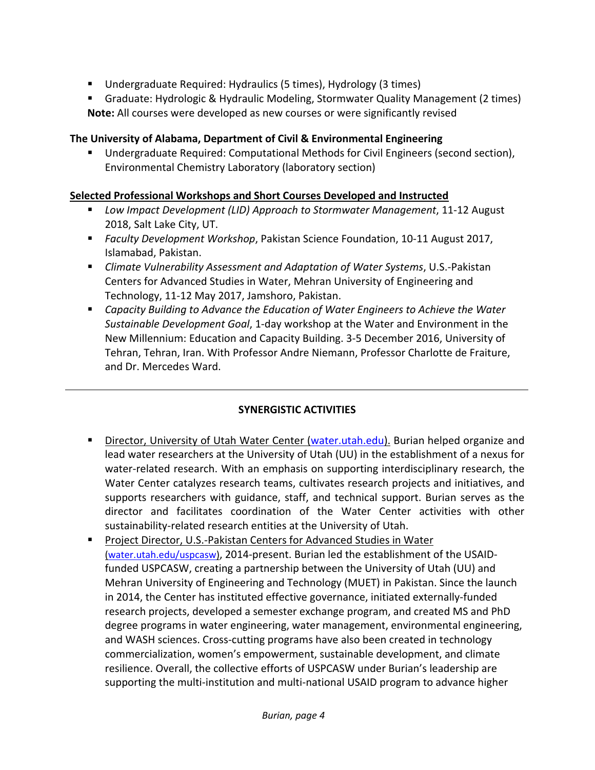- Undergraduate Required: Hydraulics (5 times), Hydrology (3 times)
- Graduate: Hydrologic & Hydraulic Modeling, Stormwater Quality Management (2 times) **Note:** All courses were developed as new courses or were significantly revised

### **The University of Alabama, Department of Civil & Environmental Engineering**

 Undergraduate Required: Computational Methods for Civil Engineers (second section), Environmental Chemistry Laboratory (laboratory section)

#### **Selected Professional Workshops and Short Courses Developed and Instructed**

- *Low Impact Development (LID) Approach to Stormwater Management*, 11‐12 August 2018, Salt Lake City, UT.
- *Faculty Development Workshop*, Pakistan Science Foundation, 10‐11 August 2017, Islamabad, Pakistan.
- *Climate Vulnerability Assessment and Adaptation of Water Systems*, U.S.‐Pakistan Centers for Advanced Studies in Water, Mehran University of Engineering and Technology, 11‐12 May 2017, Jamshoro, Pakistan.
- *Capacity Building to Advance the Education of Water Engineers to Achieve the Water Sustainable Development Goal*, 1‐day workshop at the Water and Environment in the New Millennium: Education and Capacity Building. 3‐5 December 2016, University of Tehran, Tehran, Iran. With Professor Andre Niemann, Professor Charlotte de Fraiture, and Dr. Mercedes Ward.

#### **SYNERGISTIC ACTIVITIES**

- **Director, University of Utah Water Center (water.utah.edu). Burian helped organize and** lead water researchers at the University of Utah (UU) in the establishment of a nexus for water-related research. With an emphasis on supporting interdisciplinary research, the Water Center catalyzes research teams, cultivates research projects and initiatives, and supports researchers with guidance, staff, and technical support. Burian serves as the director and facilitates coordination of the Water Center activities with other sustainability‐related research entities at the University of Utah.
- Project Director, U.S.-Pakistan Centers for Advanced Studies in Water (water.utah.edu/uspcasw), 2014‐present. Burian led the establishment of the USAID‐ funded USPCASW, creating a partnership between the University of Utah (UU) and Mehran University of Engineering and Technology (MUET) in Pakistan. Since the launch in 2014, the Center has instituted effective governance, initiated externally‐funded research projects, developed a semester exchange program, and created MS and PhD degree programs in water engineering, water management, environmental engineering, and WASH sciences. Cross‐cutting programs have also been created in technology commercialization, women's empowerment, sustainable development, and climate resilience. Overall, the collective efforts of USPCASW under Burian's leadership are supporting the multi‐institution and multi‐national USAID program to advance higher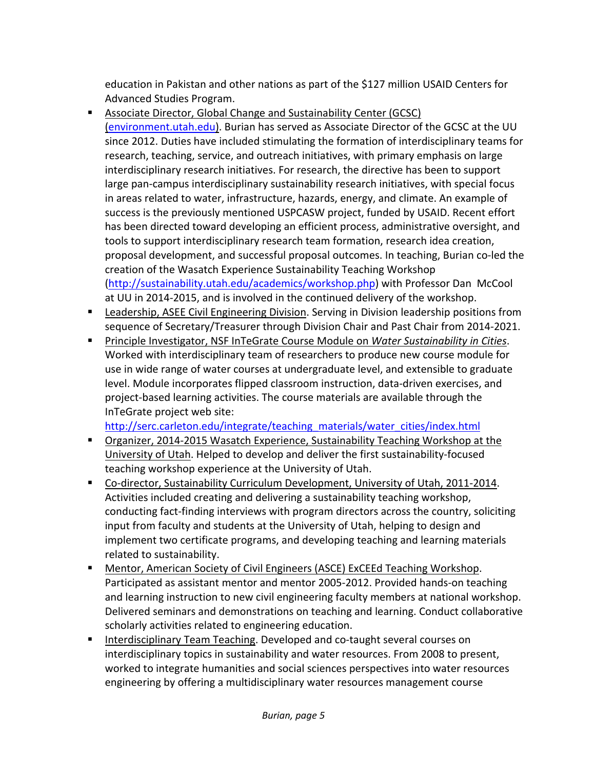education in Pakistan and other nations as part of the \$127 million USAID Centers for Advanced Studies Program.

- Associate Director, Global Change and Sustainability Center (GCSC) (environment.utah.edu). Burian has served as Associate Director of the GCSC at the UU since 2012. Duties have included stimulating the formation of interdisciplinary teams for research, teaching, service, and outreach initiatives, with primary emphasis on large interdisciplinary research initiatives. For research, the directive has been to support large pan-campus interdisciplinary sustainability research initiatives, with special focus in areas related to water, infrastructure, hazards, energy, and climate. An example of success is the previously mentioned USPCASW project, funded by USAID. Recent effort has been directed toward developing an efficient process, administrative oversight, and tools to support interdisciplinary research team formation, research idea creation, proposal development, and successful proposal outcomes. In teaching, Burian co‐led the creation of the Wasatch Experience Sustainability Teaching Workshop (http://sustainability.utah.edu/academics/workshop.php) with Professor Dan McCool at UU in 2014‐2015, and is involved in the continued delivery of the workshop.
- **EXT** Leadership, ASEE Civil Engineering Division. Serving in Division leadership positions from sequence of Secretary/Treasurer through Division Chair and Past Chair from 2014‐2021.
- Principle Investigator, NSF InTeGrate Course Module on *Water Sustainability in Cities*. Worked with interdisciplinary team of researchers to produce new course module for use in wide range of water courses at undergraduate level, and extensible to graduate level. Module incorporates flipped classroom instruction, data‐driven exercises, and project‐based learning activities. The course materials are available through the InTeGrate project web site:

http://serc.carleton.edu/integrate/teaching\_materials/water\_cities/index.html

- Organizer, 2014-2015 Wasatch Experience, Sustainability Teaching Workshop at the University of Utah. Helped to develop and deliver the first sustainability‐focused teaching workshop experience at the University of Utah.
- Co-director, Sustainability Curriculum Development, University of Utah, 2011-2014. Activities included creating and delivering a sustainability teaching workshop, conducting fact‐finding interviews with program directors across the country, soliciting input from faculty and students at the University of Utah, helping to design and implement two certificate programs, and developing teaching and learning materials related to sustainability.
- Mentor, American Society of Civil Engineers (ASCE) ExCEEd Teaching Workshop. Participated as assistant mentor and mentor 2005‐2012. Provided hands‐on teaching and learning instruction to new civil engineering faculty members at national workshop. Delivered seminars and demonstrations on teaching and learning. Conduct collaborative scholarly activities related to engineering education.
- Interdisciplinary Team Teaching. Developed and co-taught several courses on interdisciplinary topics in sustainability and water resources. From 2008 to present, worked to integrate humanities and social sciences perspectives into water resources engineering by offering a multidisciplinary water resources management course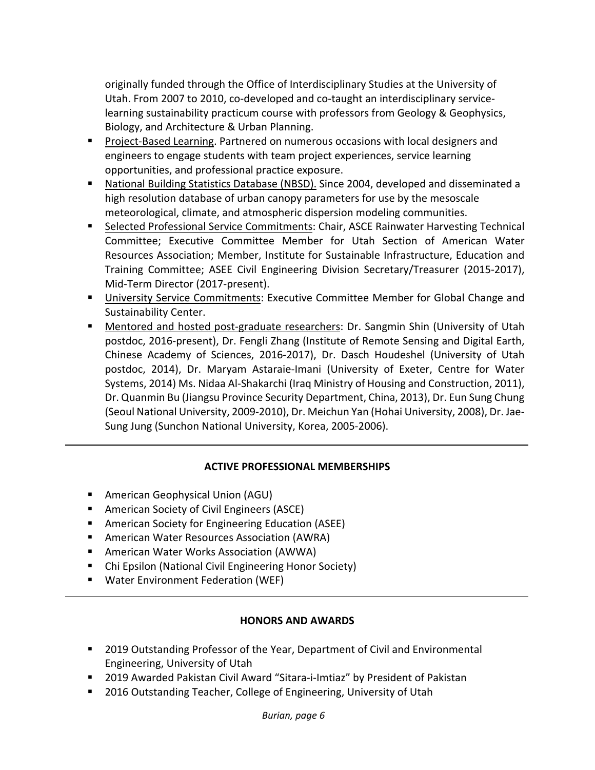originally funded through the Office of Interdisciplinary Studies at the University of Utah. From 2007 to 2010, co-developed and co-taught an interdisciplinary servicelearning sustainability practicum course with professors from Geology & Geophysics, Biology, and Architecture & Urban Planning.

- Project‐Based Learning. Partnered on numerous occasions with local designers and engineers to engage students with team project experiences, service learning opportunities, and professional practice exposure.
- National Building Statistics Database (NBSD). Since 2004, developed and disseminated a high resolution database of urban canopy parameters for use by the mesoscale meteorological, climate, and atmospheric dispersion modeling communities.
- **Example 2 Selected Professional Service Commitments: Chair, ASCE Rainwater Harvesting Technical** Committee; Executive Committee Member for Utah Section of American Water Resources Association; Member, Institute for Sustainable Infrastructure, Education and Training Committee; ASEE Civil Engineering Division Secretary/Treasurer (2015‐2017), Mid‐Term Director (2017‐present).
- **University Service Commitments: Executive Committee Member for Global Change and** Sustainability Center.
- Mentored and hosted post-graduate researchers: Dr. Sangmin Shin (University of Utah postdoc, 2016‐present), Dr. Fengli Zhang (Institute of Remote Sensing and Digital Earth, Chinese Academy of Sciences, 2016‐2017), Dr. Dasch Houdeshel (University of Utah postdoc, 2014), Dr. Maryam Astaraie‐Imani (University of Exeter, Centre for Water Systems, 2014) Ms. Nidaa Al‐Shakarchi (Iraq Ministry of Housing and Construction, 2011), Dr. Quanmin Bu (Jiangsu Province Security Department, China, 2013), Dr. Eun Sung Chung (Seoul National University, 2009‐2010), Dr. Meichun Yan (Hohai University, 2008), Dr. Jae‐ Sung Jung (Sunchon National University, Korea, 2005‐2006).

#### **ACTIVE PROFESSIONAL MEMBERSHIPS**

- American Geophysical Union (AGU)
- American Society of Civil Engineers (ASCE)
- American Society for Engineering Education (ASEE)
- American Water Resources Association (AWRA)
- American Water Works Association (AWWA)
- Chi Epsilon (National Civil Engineering Honor Society)
- Water Environment Federation (WEF)

#### **HONORS AND AWARDS**

- **2019 Outstanding Professor of the Year, Department of Civil and Environmental** Engineering, University of Utah
- 2019 Awarded Pakistan Civil Award "Sitara-i-Imtiaz" by President of Pakistan
- 2016 Outstanding Teacher, College of Engineering, University of Utah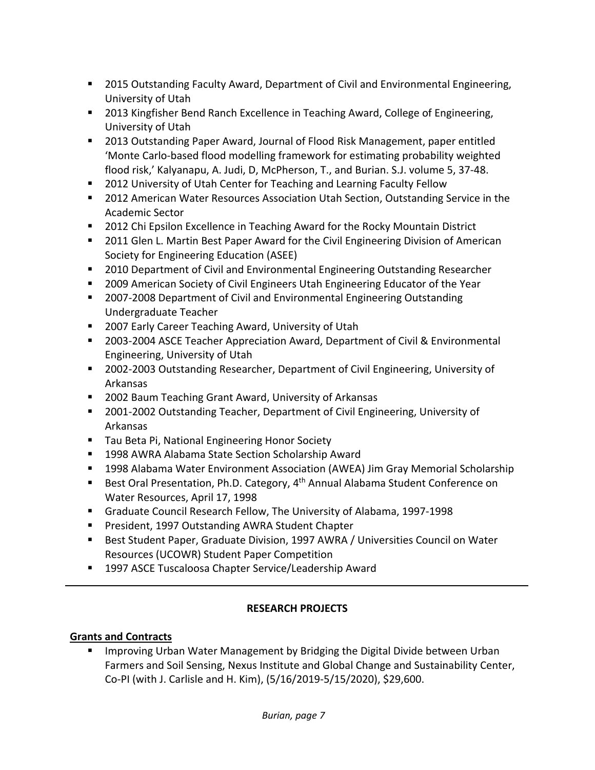- **2015 Outstanding Faculty Award, Department of Civil and Environmental Engineering,** University of Utah
- 2013 Kingfisher Bend Ranch Excellence in Teaching Award, College of Engineering, University of Utah
- 2013 Outstanding Paper Award, Journal of Flood Risk Management, paper entitled 'Monte Carlo‐based flood modelling framework for estimating probability weighted flood risk,' Kalyanapu, A. Judi, D, McPherson, T., and Burian. S.J. volume 5, 37‐48.
- 2012 University of Utah Center for Teaching and Learning Faculty Fellow
- 2012 American Water Resources Association Utah Section, Outstanding Service in the Academic Sector
- 2012 Chi Epsilon Excellence in Teaching Award for the Rocky Mountain District
- **2011 Glen L. Martin Best Paper Award for the Civil Engineering Division of American** Society for Engineering Education (ASEE)
- **2010 Department of Civil and Environmental Engineering Outstanding Researcher**
- **2009 American Society of Civil Engineers Utah Engineering Educator of the Year**
- 2007-2008 Department of Civil and Environmental Engineering Outstanding Undergraduate Teacher
- 2007 Early Career Teaching Award, University of Utah
- 2003-2004 ASCE Teacher Appreciation Award, Department of Civil & Environmental Engineering, University of Utah
- 2002-2003 Outstanding Researcher, Department of Civil Engineering, University of Arkansas
- 2002 Baum Teaching Grant Award, University of Arkansas
- 2001-2002 Outstanding Teacher, Department of Civil Engineering, University of Arkansas
- Tau Beta Pi, National Engineering Honor Society
- 1998 AWRA Alabama State Section Scholarship Award
- 1998 Alabama Water Environment Association (AWEA) Jim Gray Memorial Scholarship
- Best Oral Presentation, Ph.D. Category, 4<sup>th</sup> Annual Alabama Student Conference on Water Resources, April 17, 1998
- Graduate Council Research Fellow, The University of Alabama, 1997-1998
- **President, 1997 Outstanding AWRA Student Chapter**
- Best Student Paper, Graduate Division, 1997 AWRA / Universities Council on Water Resources (UCOWR) Student Paper Competition
- 1997 ASCE Tuscaloosa Chapter Service/Leadership Award

# **RESEARCH PROJECTS**

# **Grants and Contracts**

**IMPROM** Improving Urban Water Management by Bridging the Digital Divide between Urban Farmers and Soil Sensing, Nexus Institute and Global Change and Sustainability Center, Co‐PI (with J. Carlisle and H. Kim), (5/16/2019‐5/15/2020), \$29,600.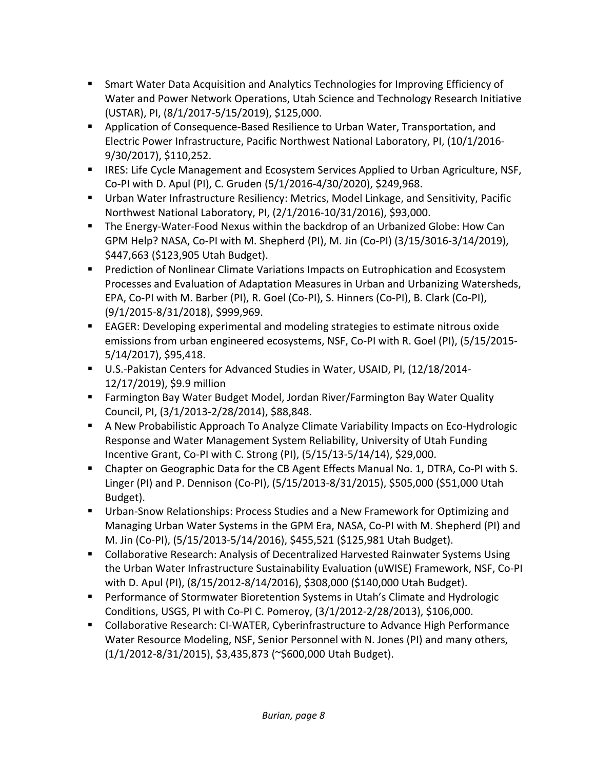- Smart Water Data Acquisition and Analytics Technologies for Improving Efficiency of Water and Power Network Operations, Utah Science and Technology Research Initiative (USTAR), PI, (8/1/2017‐5/15/2019), \$125,000.
- Application of Consequence-Based Resilience to Urban Water, Transportation, and Electric Power Infrastructure, Pacific Northwest National Laboratory, PI, (10/1/2016‐ 9/30/2017), \$110,252.
- **IRES: Life Cycle Management and Ecosystem Services Applied to Urban Agriculture, NSF,** Co‐PI with D. Apul (PI), C. Gruden (5/1/2016‐4/30/2020), \$249,968.
- Urban Water Infrastructure Resiliency: Metrics, Model Linkage, and Sensitivity, Pacific Northwest National Laboratory, PI, (2/1/2016‐10/31/2016), \$93,000.
- The Energy-Water-Food Nexus within the backdrop of an Urbanized Globe: How Can GPM Help? NASA, Co‐PI with M. Shepherd (PI), M. Jin (Co‐PI) (3/15/3016‐3/14/2019), \$447,663 (\$123,905 Utah Budget).
- **Prediction of Nonlinear Climate Variations Impacts on Eutrophication and Ecosystem** Processes and Evaluation of Adaptation Measures in Urban and Urbanizing Watersheds, EPA, Co‐PI with M. Barber (PI), R. Goel (Co‐PI), S. Hinners (Co‐PI), B. Clark (Co‐PI), (9/1/2015‐8/31/2018), \$999,969.
- EAGER: Developing experimental and modeling strategies to estimate nitrous oxide emissions from urban engineered ecosystems, NSF, Co-PI with R. Goel (PI), (5/15/2015-5/14/2017), \$95,418.
- U.S.-Pakistan Centers for Advanced Studies in Water, USAID, PI, (12/18/2014-12/17/2019), \$9.9 million
- Farmington Bay Water Budget Model, Jordan River/Farmington Bay Water Quality Council, PI, (3/1/2013‐2/28/2014), \$88,848.
- A New Probabilistic Approach To Analyze Climate Variability Impacts on Eco-Hydrologic Response and Water Management System Reliability, University of Utah Funding Incentive Grant, Co‐PI with C. Strong (PI), (5/15/13‐5/14/14), \$29,000.
- Chapter on Geographic Data for the CB Agent Effects Manual No. 1, DTRA, Co-PI with S. Linger (PI) and P. Dennison (Co‐PI), (5/15/2013‐8/31/2015), \$505,000 (\$51,000 Utah Budget).
- Urban-Snow Relationships: Process Studies and a New Framework for Optimizing and Managing Urban Water Systems in the GPM Era, NASA, Co‐PI with M. Shepherd (PI) and M. Jin (Co‐PI), (5/15/2013‐5/14/2016), \$455,521 (\$125,981 Utah Budget).
- Collaborative Research: Analysis of Decentralized Harvested Rainwater Systems Using the Urban Water Infrastructure Sustainability Evaluation (uWISE) Framework, NSF, Co‐PI with D. Apul (PI), (8/15/2012‐8/14/2016), \$308,000 (\$140,000 Utah Budget).
- Performance of Stormwater Bioretention Systems in Utah's Climate and Hydrologic Conditions, USGS, PI with Co‐PI C. Pomeroy, (3/1/2012‐2/28/2013), \$106,000.
- Collaborative Research: CI-WATER, Cyberinfrastructure to Advance High Performance Water Resource Modeling, NSF, Senior Personnel with N. Jones (PI) and many others, (1/1/2012‐8/31/2015), \$3,435,873 (~\$600,000 Utah Budget).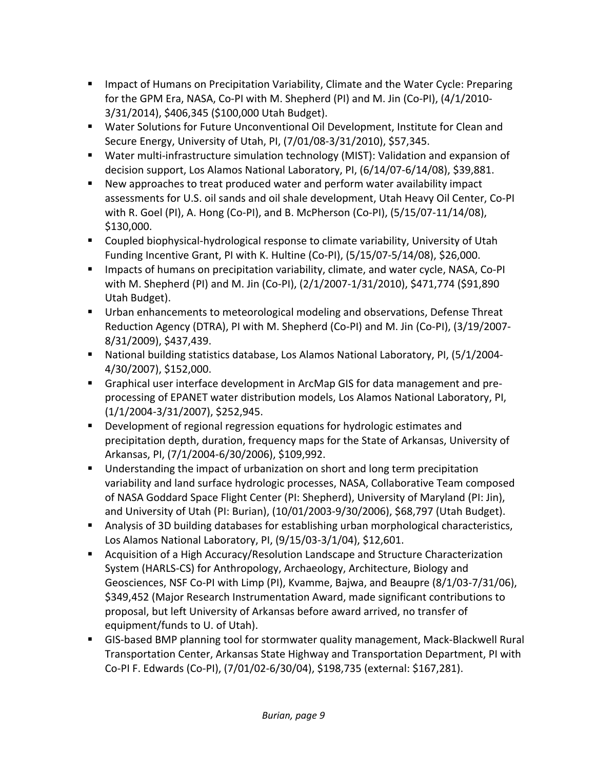- **IMPACT OF HUMANS ON Precipitation Variability, Climate and the Water Cycle: Preparing** for the GPM Era, NASA, Co‐PI with M. Shepherd (PI) and M. Jin (Co‐PI), (4/1/2010‐ 3/31/2014), \$406,345 (\$100,000 Utah Budget).
- Water Solutions for Future Unconventional Oil Development, Institute for Clean and Secure Energy, University of Utah, PI, (7/01/08‐3/31/2010), \$57,345.
- Water multi-infrastructure simulation technology (MIST): Validation and expansion of decision support, Los Alamos National Laboratory, PI, (6/14/07‐6/14/08), \$39,881.
- New approaches to treat produced water and perform water availability impact assessments for U.S. oil sands and oil shale development, Utah Heavy Oil Center, Co‐PI with R. Goel (PI), A. Hong (Co‐PI), and B. McPherson (Co‐PI), (5/15/07‐11/14/08), \$130,000.
- Coupled biophysical-hydrological response to climate variability, University of Utah Funding Incentive Grant, PI with K. Hultine (Co‐PI), (5/15/07‐5/14/08), \$26,000.
- Impacts of humans on precipitation variability, climate, and water cycle, NASA, Co-PI with M. Shepherd (PI) and M. Jin (Co‐PI), (2/1/2007‐1/31/2010), \$471,774 (\$91,890 Utah Budget).
- Urban enhancements to meteorological modeling and observations, Defense Threat Reduction Agency (DTRA), PI with M. Shepherd (Co‐PI) and M. Jin (Co‐PI), (3/19/2007‐ 8/31/2009), \$437,439.
- National building statistics database, Los Alamos National Laboratory, PI, (5/1/2004-4/30/2007), \$152,000.
- Graphical user interface development in ArcMap GIS for data management and preprocessing of EPANET water distribution models, Los Alamos National Laboratory, PI, (1/1/2004‐3/31/2007), \$252,945.
- **Development of regional regression equations for hydrologic estimates and** precipitation depth, duration, frequency maps for the State of Arkansas, University of Arkansas, PI, (7/1/2004‐6/30/2006), \$109,992.
- **Understanding the impact of urbanization on short and long term precipitation** variability and land surface hydrologic processes, NASA, Collaborative Team composed of NASA Goddard Space Flight Center (PI: Shepherd), University of Maryland (PI: Jin), and University of Utah (PI: Burian), (10/01/2003‐9/30/2006), \$68,797 (Utah Budget).
- Analysis of 3D building databases for establishing urban morphological characteristics, Los Alamos National Laboratory, PI, (9/15/03‐3/1/04), \$12,601.
- Acquisition of a High Accuracy/Resolution Landscape and Structure Characterization System (HARLS‐CS) for Anthropology, Archaeology, Architecture, Biology and Geosciences, NSF Co‐PI with Limp (PI), Kvamme, Bajwa, and Beaupre (8/1/03‐7/31/06), \$349,452 (Major Research Instrumentation Award, made significant contributions to proposal, but left University of Arkansas before award arrived, no transfer of equipment/funds to U. of Utah).
- GIS-based BMP planning tool for stormwater quality management, Mack-Blackwell Rural Transportation Center, Arkansas State Highway and Transportation Department, PI with Co‐PI F. Edwards (Co‐PI), (7/01/02‐6/30/04), \$198,735 (external: \$167,281).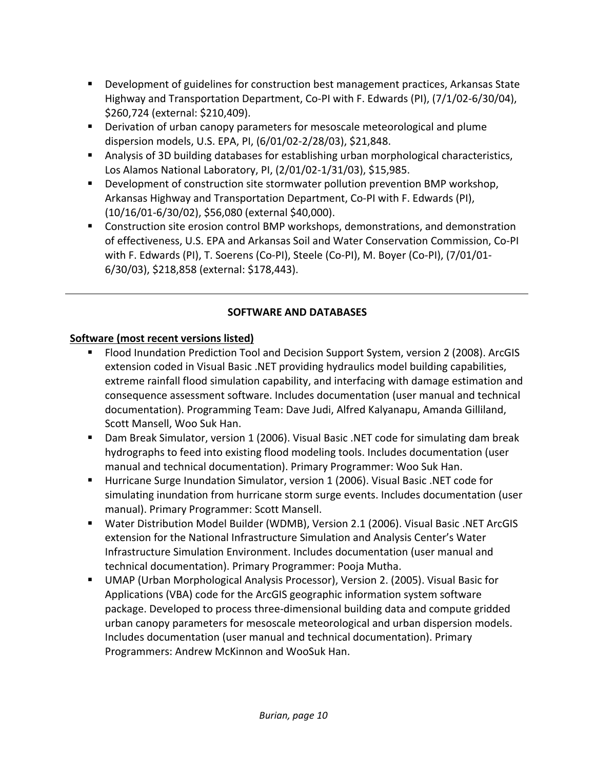- **Development of guidelines for construction best management practices, Arkansas State** Highway and Transportation Department, Co‐PI with F. Edwards (PI), (7/1/02‐6/30/04), \$260,724 (external: \$210,409).
- Derivation of urban canopy parameters for mesoscale meteorological and plume dispersion models, U.S. EPA, PI, (6/01/02‐2/28/03), \$21,848.
- Analysis of 3D building databases for establishing urban morphological characteristics, Los Alamos National Laboratory, PI, (2/01/02‐1/31/03), \$15,985.
- **Development of construction site stormwater pollution prevention BMP workshop,** Arkansas Highway and Transportation Department, Co‐PI with F. Edwards (PI), (10/16/01‐6/30/02), \$56,080 (external \$40,000).
- **EXP** Construction site erosion control BMP workshops, demonstrations, and demonstration of effectiveness, U.S. EPA and Arkansas Soil and Water Conservation Commission, Co‐PI with F. Edwards (PI), T. Soerens (Co‐PI), Steele (Co‐PI), M. Boyer (Co‐PI), (7/01/01‐ 6/30/03), \$218,858 (external: \$178,443).

# **SOFTWARE AND DATABASES**

# **Software (most recent versions listed)**

- **FIOOD Inundation Prediction Tool and Decision Support System, version 2 (2008). ArcGIS** extension coded in Visual Basic .NET providing hydraulics model building capabilities, extreme rainfall flood simulation capability, and interfacing with damage estimation and consequence assessment software. Includes documentation (user manual and technical documentation). Programming Team: Dave Judi, Alfred Kalyanapu, Amanda Gilliland, Scott Mansell, Woo Suk Han.
- Dam Break Simulator, version 1 (2006). Visual Basic .NET code for simulating dam break hydrographs to feed into existing flood modeling tools. Includes documentation (user manual and technical documentation). Primary Programmer: Woo Suk Han.
- Hurricane Surge Inundation Simulator, version 1 (2006). Visual Basic .NET code for simulating inundation from hurricane storm surge events. Includes documentation (user manual). Primary Programmer: Scott Mansell.
- Water Distribution Model Builder (WDMB), Version 2.1 (2006). Visual Basic .NET ArcGIS extension for the National Infrastructure Simulation and Analysis Center's Water Infrastructure Simulation Environment. Includes documentation (user manual and technical documentation). Primary Programmer: Pooja Mutha.
- UMAP (Urban Morphological Analysis Processor), Version 2. (2005). Visual Basic for Applications (VBA) code for the ArcGIS geographic information system software package. Developed to process three‐dimensional building data and compute gridded urban canopy parameters for mesoscale meteorological and urban dispersion models. Includes documentation (user manual and technical documentation). Primary Programmers: Andrew McKinnon and WooSuk Han.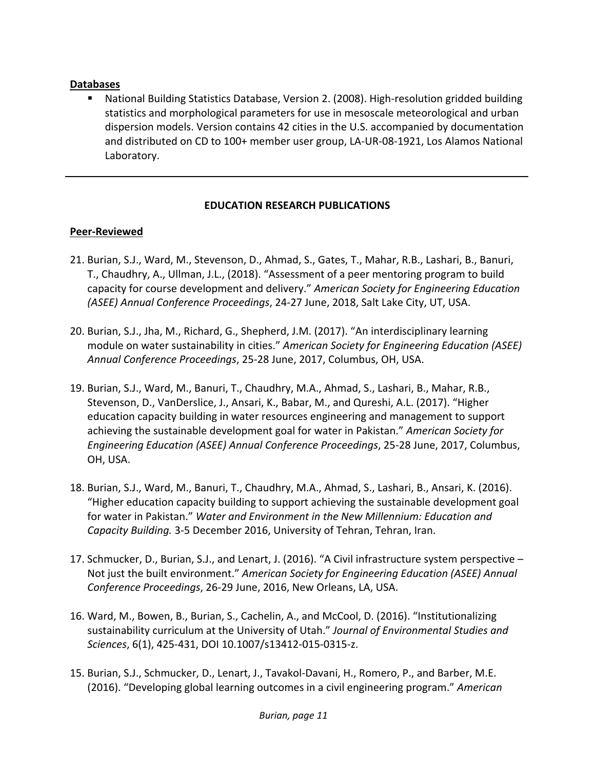#### **Databases**

 National Building Statistics Database, Version 2. (2008). High‐resolution gridded building statistics and morphological parameters for use in mesoscale meteorological and urban dispersion models. Version contains 42 cities in the U.S. accompanied by documentation and distributed on CD to 100+ member user group, LA‐UR‐08‐1921, Los Alamos National Laboratory.

### **EDUCATION RESEARCH PUBLICATIONS**

### **Peer‐Reviewed**

- 21. Burian, S.J., Ward, M., Stevenson, D., Ahmad, S., Gates, T., Mahar, R.B., Lashari, B., Banuri, T., Chaudhry, A., Ullman, J.L., (2018). "Assessment of a peer mentoring program to build capacity for course development and delivery." *American Society for Engineering Education (ASEE) Annual Conference Proceedings*, 24‐27 June, 2018, Salt Lake City, UT, USA.
- 20. Burian, S.J., Jha, M., Richard, G., Shepherd, J.M. (2017). "An interdisciplinary learning module on water sustainability in cities." *American Society for Engineering Education (ASEE) Annual Conference Proceedings*, 25‐28 June, 2017, Columbus, OH, USA.
- 19. Burian, S.J., Ward, M., Banuri, T., Chaudhry, M.A., Ahmad, S., Lashari, B., Mahar, R.B., Stevenson, D., VanDerslice, J., Ansari, K., Babar, M., and Qureshi, A.L. (2017). "Higher education capacity building in water resources engineering and management to support achieving the sustainable development goal for water in Pakistan." *American Society for Engineering Education (ASEE) Annual Conference Proceedings*, 25‐28 June, 2017, Columbus, OH, USA.
- 18. Burian, S.J., Ward, M., Banuri, T., Chaudhry, M.A., Ahmad, S., Lashari, B., Ansari, K. (2016). "Higher education capacity building to support achieving the sustainable development goal for water in Pakistan." *Water and Environment in the New Millennium: Education and Capacity Building.* 3‐5 December 2016, University of Tehran, Tehran, Iran.
- 17. Schmucker, D., Burian, S.J., and Lenart, J. (2016). "A Civil infrastructure system perspective Not just the built environment." *American Society for Engineering Education (ASEE) Annual Conference Proceedings*, 26‐29 June, 2016, New Orleans, LA, USA.
- 16. Ward, M., Bowen, B., Burian, S., Cachelin, A., and McCool, D. (2016). "Institutionalizing sustainability curriculum at the University of Utah." *Journal of Environmental Studies and Sciences*, 6(1), 425‐431, DOI 10.1007/s13412‐015‐0315‐z.
- 15. Burian, S.J., Schmucker, D., Lenart, J., Tavakol‐Davani, H., Romero, P., and Barber, M.E. (2016). "Developing global learning outcomes in a civil engineering program." *American*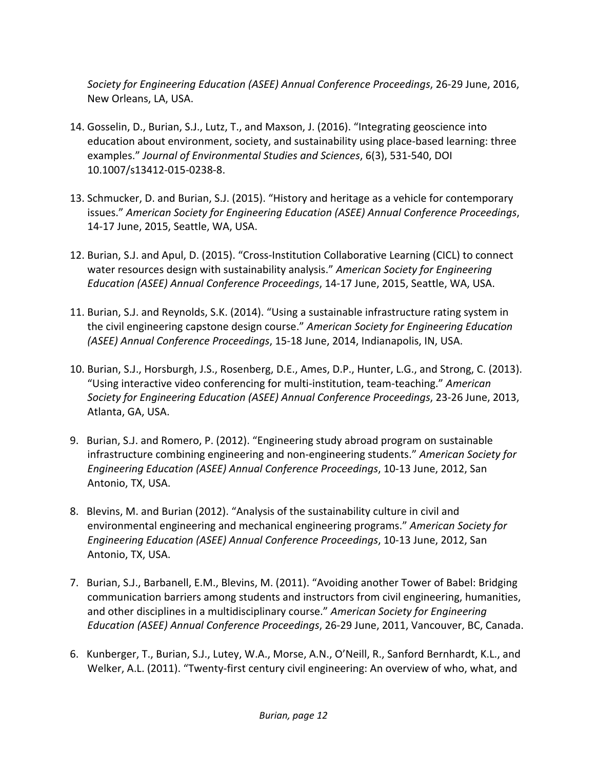*Society for Engineering Education (ASEE) Annual Conference Proceedings*, 26‐29 June, 2016, New Orleans, LA, USA.

- 14. Gosselin, D., Burian, S.J., Lutz, T., and Maxson, J. (2016). "Integrating geoscience into education about environment, society, and sustainability using place‐based learning: three examples." *Journal of Environmental Studies and Sciences*, 6(3), 531‐540, DOI 10.1007/s13412‐015‐0238‐8.
- 13. Schmucker, D. and Burian, S.J. (2015). "History and heritage as a vehicle for contemporary issues." *American Society for Engineering Education (ASEE) Annual Conference Proceedings*, 14‐17 June, 2015, Seattle, WA, USA.
- 12. Burian, S.J. and Apul, D. (2015). "Cross‐Institution Collaborative Learning (CICL) to connect water resources design with sustainability analysis." *American Society for Engineering Education (ASEE) Annual Conference Proceedings*, 14‐17 June, 2015, Seattle, WA, USA.
- 11. Burian, S.J. and Reynolds, S.K. (2014). "Using a sustainable infrastructure rating system in the civil engineering capstone design course." *American Society for Engineering Education (ASEE) Annual Conference Proceedings*, 15‐18 June, 2014, Indianapolis, IN, USA.
- 10. Burian, S.J., Horsburgh, J.S., Rosenberg, D.E., Ames, D.P., Hunter, L.G., and Strong, C. (2013). "Using interactive video conferencing for multi‐institution, team‐teaching." *American Society for Engineering Education (ASEE) Annual Conference Proceedings*, 23‐26 June, 2013, Atlanta, GA, USA.
- 9. Burian, S.J. and Romero, P. (2012). "Engineering study abroad program on sustainable infrastructure combining engineering and non‐engineering students." *American Society for Engineering Education (ASEE) Annual Conference Proceedings*, 10‐13 June, 2012, San Antonio, TX, USA.
- 8. Blevins, M. and Burian (2012). "Analysis of the sustainability culture in civil and environmental engineering and mechanical engineering programs." *American Society for Engineering Education (ASEE) Annual Conference Proceedings*, 10‐13 June, 2012, San Antonio, TX, USA.
- 7. Burian, S.J., Barbanell, E.M., Blevins, M. (2011). "Avoiding another Tower of Babel: Bridging communication barriers among students and instructors from civil engineering, humanities, and other disciplines in a multidisciplinary course." *American Society for Engineering Education (ASEE) Annual Conference Proceedings*, 26‐29 June, 2011, Vancouver, BC, Canada.
- 6. Kunberger, T., Burian, S.J., Lutey, W.A., Morse, A.N., O'Neill, R., Sanford Bernhardt, K.L., and Welker, A.L. (2011). "Twenty‐first century civil engineering: An overview of who, what, and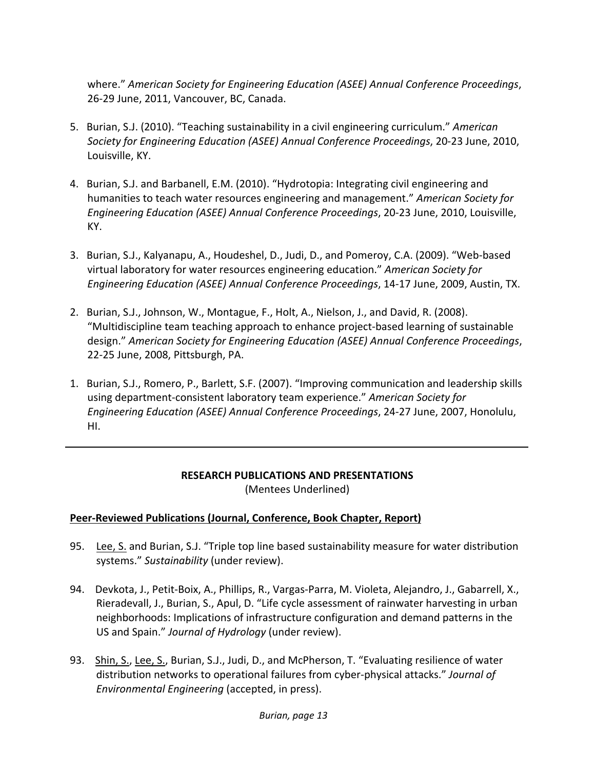where." *American Society for Engineering Education (ASEE) Annual Conference Proceedings*, 26‐29 June, 2011, Vancouver, BC, Canada.

- 5. Burian, S.J. (2010). "Teaching sustainability in a civil engineering curriculum." *American Society for Engineering Education (ASEE) Annual Conference Proceedings*, 20‐23 June, 2010, Louisville, KY.
- 4. Burian, S.J. and Barbanell, E.M. (2010). "Hydrotopia: Integrating civil engineering and humanities to teach water resources engineering and management." *American Society for Engineering Education (ASEE) Annual Conference Proceedings*, 20‐23 June, 2010, Louisville, KY.
- 3. Burian, S.J., Kalyanapu, A., Houdeshel, D., Judi, D., and Pomeroy, C.A. (2009). "Web‐based virtual laboratory for water resources engineering education." *American Society for Engineering Education (ASEE) Annual Conference Proceedings*, 14‐17 June, 2009, Austin, TX.
- 2. Burian, S.J., Johnson, W., Montague, F., Holt, A., Nielson, J., and David, R. (2008). "Multidiscipline team teaching approach to enhance project‐based learning of sustainable design." *American Society for Engineering Education (ASEE) Annual Conference Proceedings*, 22‐25 June, 2008, Pittsburgh, PA.
- 1. Burian, S.J., Romero, P., Barlett, S.F. (2007). "Improving communication and leadership skills using department‐consistent laboratory team experience." *American Society for Engineering Education (ASEE) Annual Conference Proceedings*, 24‐27 June, 2007, Honolulu, HI.

#### **RESEARCH PUBLICATIONS AND PRESENTATIONS** (Mentees Underlined)

#### **Peer‐Reviewed Publications (Journal, Conference, Book Chapter, Report)**

- 95. Lee, S. and Burian, S.J. "Triple top line based sustainability measure for water distribution systems." *Sustainability* (under review).
- 94. Devkota, J., Petit-Boix, A., Phillips, R., Vargas-Parra, M. Violeta, Alejandro, J., Gabarrell, X., Rieradevall, J., Burian, S., Apul, D. "Life cycle assessment of rainwater harvesting in urban neighborhoods: Implications of infrastructure configuration and demand patterns in the US and Spain." *Journal of Hydrology* (under review).
- 93. Shin, S., Lee, S., Burian, S.J., Judi, D., and McPherson, T. "Evaluating resilience of water distribution networks to operational failures from cyber‐physical attacks." *Journal of Environmental Engineering* (accepted, in press).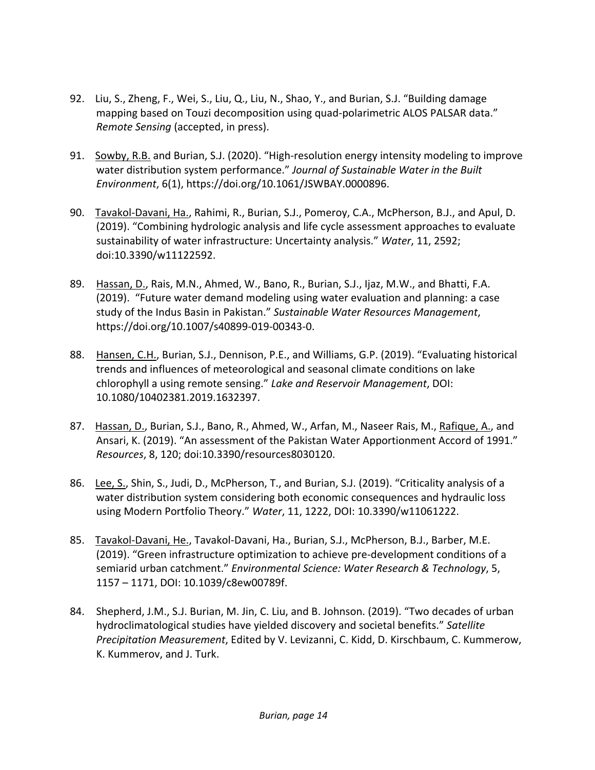- 92. Liu, S., Zheng, F., Wei, S., Liu, Q., Liu, N., Shao, Y., and Burian, S.J. "Building damage mapping based on Touzi decomposition using quad-polarimetric ALOS PALSAR data." *Remote Sensing* (accepted, in press).
- 91. Sowby, R.B. and Burian, S.J. (2020). "High-resolution energy intensity modeling to improve water distribution system performance." *Journal of Sustainable Water in the Built Environment*, 6(1), https://doi.org/10.1061/JSWBAY.0000896.
- 90. Tavakol-Davani, Ha., Rahimi, R., Burian, S.J., Pomeroy, C.A., McPherson, B.J., and Apul, D. (2019). "Combining hydrologic analysis and life cycle assessment approaches to evaluate sustainability of water infrastructure: Uncertainty analysis." *Water*, 11, 2592; doi:10.3390/w11122592.
- 89. Hassan, D., Rais, M.N., Ahmed, W., Bano, R., Burian, S.J., Ijaz, M.W., and Bhatti, F.A. (2019). "Future water demand modeling using water evaluation and planning: a case study of the Indus Basin in Pakistan." *Sustainable Water Resources Management*, https://doi.org/10.1007/s40899‐019‐00343‐0.
- 88. Hansen, C.H., Burian, S.J., Dennison, P.E., and Williams, G.P. (2019). "Evaluating historical trends and influences of meteorological and seasonal climate conditions on lake chlorophyll a using remote sensing." *Lake and Reservoir Management*, DOI: 10.1080/10402381.2019.1632397.
- 87. Hassan, D., Burian, S.J., Bano, R., Ahmed, W., Arfan, M., Naseer Rais, M., Rafique, A., and Ansari, K. (2019). "An assessment of the Pakistan Water Apportionment Accord of 1991." *Resources*, 8, 120; doi:10.3390/resources8030120.
- 86. Lee, S., Shin, S., Judi, D., McPherson, T., and Burian, S.J. (2019). "Criticality analysis of a water distribution system considering both economic consequences and hydraulic loss using Modern Portfolio Theory." *Water*, 11, 1222, DOI: 10.3390/w11061222.
- 85. Tavakol-Davani, He., Tavakol-Davani, Ha., Burian, S.J., McPherson, B.J., Barber, M.E. (2019). "Green infrastructure optimization to achieve pre‐development conditions of a semiarid urban catchment." *Environmental Science: Water Research & Technology*, 5, 1157 – 1171, DOI: 10.1039/c8ew00789f.
- 84. Shepherd, J.M., S.J. Burian, M. Jin, C. Liu, and B. Johnson. (2019). "Two decades of urban hydroclimatological studies have yielded discovery and societal benefits." *Satellite Precipitation Measurement*, Edited by V. Levizanni, C. Kidd, D. Kirschbaum, C. Kummerow, K. Kummerov, and J. Turk.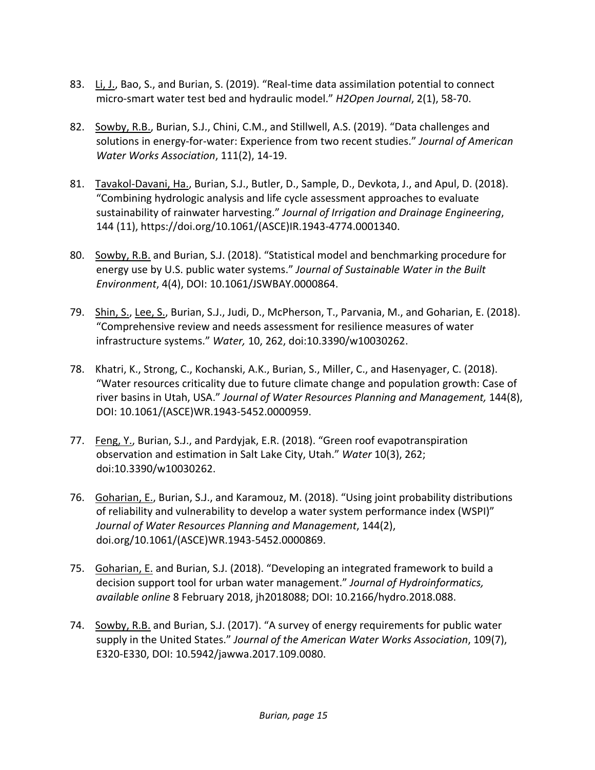- 83. Li, J., Bao, S., and Burian, S. (2019). "Real-time data assimilation potential to connect micro‐smart water test bed and hydraulic model." *H2Open Journal*, 2(1), 58‐70.
- 82. Sowby, R.B., Burian, S.J., Chini, C.M., and Stillwell, A.S. (2019). "Data challenges and solutions in energy‐for‐water: Experience from two recent studies." *Journal of American Water Works Association*, 111(2), 14‐19.
- 81. Tavakol-Davani, Ha., Burian, S.J., Butler, D., Sample, D., Devkota, J., and Apul, D. (2018). "Combining hydrologic analysis and life cycle assessment approaches to evaluate sustainability of rainwater harvesting." *Journal of Irrigation and Drainage Engineering*, 144 (11), https://doi.org/10.1061/(ASCE)IR.1943‐4774.0001340.
- 80. Sowby, R.B. and Burian, S.J. (2018). "Statistical model and benchmarking procedure for energy use by U.S. public water systems." *Journal of Sustainable Water in the Built Environment*, 4(4), DOI: 10.1061/JSWBAY.0000864.
- 79. Shin, S., Lee, S., Burian, S.J., Judi, D., McPherson, T., Parvania, M., and Goharian, E. (2018). "Comprehensive review and needs assessment for resilience measures of water infrastructure systems." *Water,* 10, 262, doi:10.3390/w10030262.
- 78. Khatri, K., Strong, C., Kochanski, A.K., Burian, S., Miller, C., and Hasenyager, C. (2018). "Water resources criticality due to future climate change and population growth: Case of river basins in Utah, USA." *Journal of Water Resources Planning and Management,* 144(8), DOI: 10.1061/(ASCE)WR.1943‐5452.0000959.
- 77. Feng, Y., Burian, S.J., and Pardyjak, E.R. (2018). "Green roof evapotranspiration observation and estimation in Salt Lake City, Utah." *Water* 10(3), 262; doi:10.3390/w10030262.
- 76. Goharian, E., Burian, S.J., and Karamouz, M. (2018). "Using joint probability distributions of reliability and vulnerability to develop a water system performance index (WSPI)" *Journal of Water Resources Planning and Management*, 144(2), doi.org/10.1061/(ASCE)WR.1943‐5452.0000869.
- 75. Goharian, E. and Burian, S.J. (2018). "Developing an integrated framework to build a decision support tool for urban water management." *Journal of Hydroinformatics, available online* 8 February 2018, jh2018088; DOI: 10.2166/hydro.2018.088.
- 74. Sowby, R.B. and Burian, S.J. (2017). "A survey of energy requirements for public water supply in the United States." *Journal of the American Water Works Association*, 109(7), E320‐E330, DOI: 10.5942/jawwa.2017.109.0080.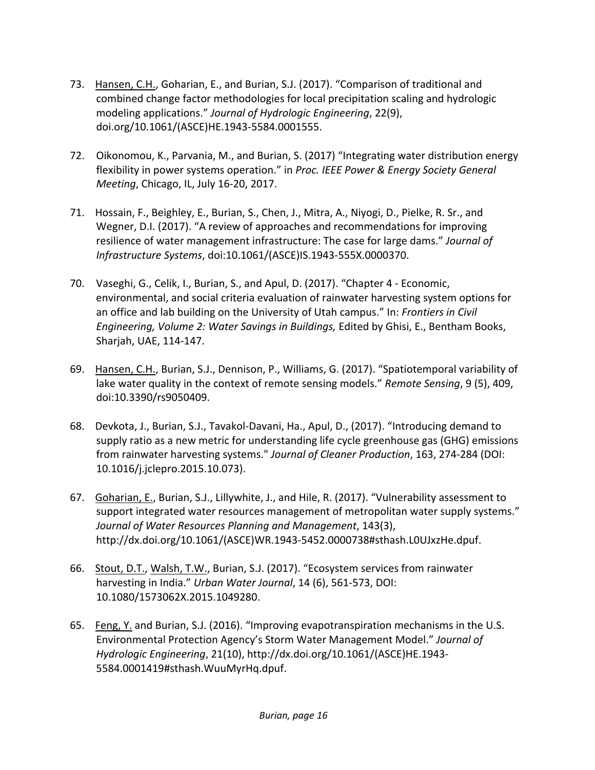- 73. Hansen, C.H., Goharian, E., and Burian, S.J. (2017). "Comparison of traditional and combined change factor methodologies for local precipitation scaling and hydrologic modeling applications." *Journal of Hydrologic Engineering*, 22(9), doi.org/10.1061/(ASCE)HE.1943‐5584.0001555.
- 72. Oikonomou, K., Parvania, M., and Burian, S. (2017) "Integrating water distribution energy flexibility in power systems operation." in *Proc. IEEE Power & Energy Society General Meeting*, Chicago, IL, July 16‐20, 2017.
- 71. Hossain, F., Beighley, E., Burian, S., Chen, J., Mitra, A., Niyogi, D., Pielke, R. Sr., and Wegner, D.I. (2017). "A review of approaches and recommendations for improving resilience of water management infrastructure: The case for large dams." *Journal of Infrastructure Systems*, doi:10.1061/(ASCE)IS.1943‐555X.0000370.
- 70. Vaseghi, G., Celik, I., Burian, S., and Apul, D. (2017). "Chapter 4 ‐ Economic, environmental, and social criteria evaluation of rainwater harvesting system options for an office and lab building on the University of Utah campus." In: *Frontiers in Civil Engineering, Volume 2: Water Savings in Buildings,* Edited by Ghisi, E., Bentham Books, Sharjah, UAE, 114‐147.
- 69. Hansen, C.H., Burian, S.J., Dennison, P., Williams, G. (2017). "Spatiotemporal variability of lake water quality in the context of remote sensing models." *Remote Sensing*, 9 (5), 409, doi:10.3390/rs9050409.
- 68. Devkota, J., Burian, S.J., Tavakol‐Davani, Ha., Apul, D., (2017). "Introducing demand to supply ratio as a new metric for understanding life cycle greenhouse gas (GHG) emissions from rainwater harvesting systems." *Journal of Cleaner Production*, 163, 274‐284 (DOI: 10.1016/j.jclepro.2015.10.073).
- 67. Goharian, E., Burian, S.J., Lillywhite, J., and Hile, R. (2017). "Vulnerability assessment to support integrated water resources management of metropolitan water supply systems." *Journal of Water Resources Planning and Management*, 143(3), http://dx.doi.org/10.1061/(ASCE)WR.1943‐5452.0000738#sthash.L0UJxzHe.dpuf.
- 66. Stout, D.T., Walsh, T.W., Burian, S.J. (2017). "Ecosystem services from rainwater harvesting in India." *Urban Water Journal*, 14 (6), 561‐573, DOI: 10.1080/1573062X.2015.1049280.
- 65. Feng, Y. and Burian, S.J. (2016). "Improving evapotranspiration mechanisms in the U.S. Environmental Protection Agency's Storm Water Management Model." *Journal of Hydrologic Engineering*, 21(10), http://dx.doi.org/10.1061/(ASCE)HE.1943‐ 5584.0001419#sthash.WuuMyrHq.dpuf.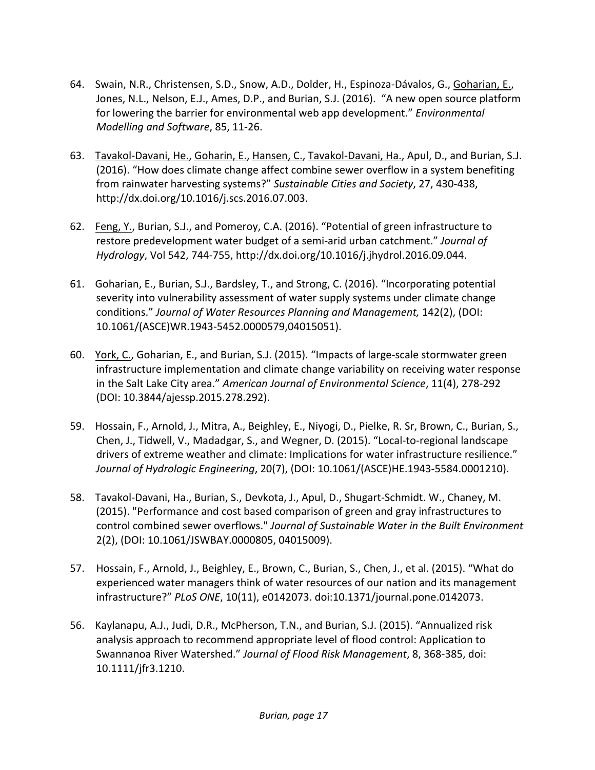- 64. Swain, N.R., Christensen, S.D., Snow, A.D., Dolder, H., Espinoza‐Dávalos, G., Goharian, E., Jones, N.L., Nelson, E.J., Ames, D.P., and Burian, S.J. (2016). "A new open source platform for lowering the barrier for environmental web app development." *Environmental Modelling and Software*, 85, 11‐26.
- 63. Tavakol‐Davani, He., Goharin, E., Hansen, C., Tavakol‐Davani, Ha., Apul, D., and Burian, S.J. (2016). "How does climate change affect combine sewer overflow in a system benefiting from rainwater harvesting systems?" *Sustainable Cities and Society*, 27, 430‐438, http://dx.doi.org/10.1016/j.scs.2016.07.003.
- 62. Feng, Y., Burian, S.J., and Pomeroy, C.A. (2016). "Potential of green infrastructure to restore predevelopment water budget of a semi‐arid urban catchment." *Journal of Hydrology*, Vol 542, 744‐755, http://dx.doi.org/10.1016/j.jhydrol.2016.09.044.
- 61. Goharian, E., Burian, S.J., Bardsley, T., and Strong, C. (2016). "Incorporating potential severity into vulnerability assessment of water supply systems under climate change conditions." *Journal of Water Resources Planning and Management,* 142(2), (DOI: 10.1061/(ASCE)WR.1943‐5452.0000579,04015051).
- 60. York, C., Goharian, E., and Burian, S.J. (2015). "Impacts of large-scale stormwater green infrastructure implementation and climate change variability on receiving water response in the Salt Lake City area." *American Journal of Environmental Science*, 11(4), 278‐292 (DOI: 10.3844/ajessp.2015.278.292).
- 59. Hossain, F., Arnold, J., Mitra, A., Beighley, E., Niyogi, D., Pielke, R. Sr, Brown, C., Burian, S., Chen, J., Tidwell, V., Madadgar, S., and Wegner, D. (2015). "Local‐to‐regional landscape drivers of extreme weather and climate: Implications for water infrastructure resilience." *Journal of Hydrologic Engineering*, 20(7), (DOI: 10.1061/(ASCE)HE.1943‐5584.0001210).
- 58. Tavakol‐Davani, Ha., Burian, S., Devkota, J., Apul, D., Shugart‐Schmidt. W., Chaney, M. (2015). "Performance and cost based comparison of green and gray infrastructures to control combined sewer overflows." *Journal of Sustainable Water in the Built Environment* 2(2), (DOI: 10.1061/JSWBAY.0000805, 04015009).
- 57. Hossain, F., Arnold, J., Beighley, E., Brown, C., Burian, S., Chen, J., et al. (2015). "What do experienced water managers think of water resources of our nation and its management infrastructure?" *PLoS ONE*, 10(11), e0142073. doi:10.1371/journal.pone.0142073.
- 56. Kaylanapu, A.J., Judi, D.R., McPherson, T.N., and Burian, S.J. (2015). "Annualized risk analysis approach to recommend appropriate level of flood control: Application to Swannanoa River Watershed." *Journal of Flood Risk Management*, 8, 368‐385, doi: 10.1111/jfr3.1210.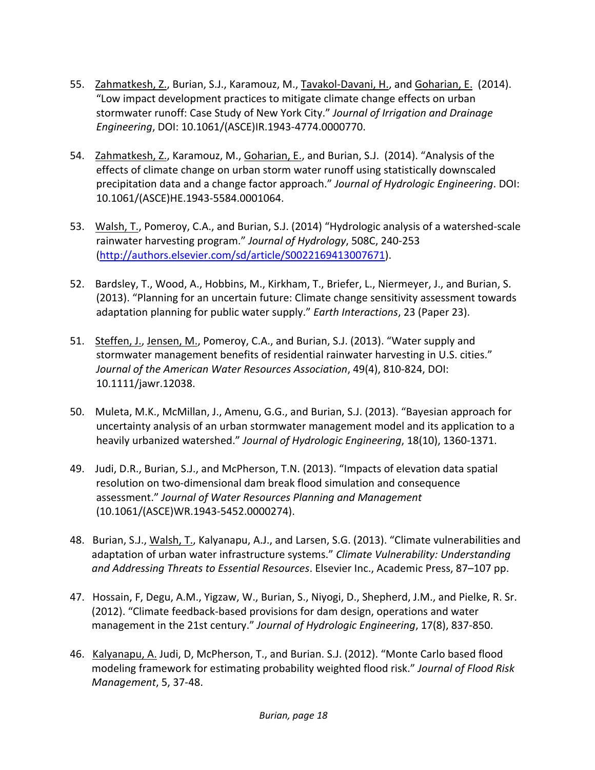- 55. Zahmatkesh, Z., Burian, S.J., Karamouz, M., Tavakol‐Davani, H., and Goharian, E. (2014). "Low impact development practices to mitigate climate change effects on urban stormwater runoff: Case Study of New York City." *Journal of Irrigation and Drainage Engineering*, DOI: 10.1061/(ASCE)IR.1943‐4774.0000770.
- 54. Zahmatkesh, Z., Karamouz, M., Goharian, E., and Burian, S.J. (2014). "Analysis of the effects of climate change on urban storm water runoff using statistically downscaled precipitation data and a change factor approach." *Journal of Hydrologic Engineering*. DOI: 10.1061/(ASCE)HE.1943‐5584.0001064.
- 53. Walsh, T., Pomeroy, C.A., and Burian, S.J. (2014) "Hydrologic analysis of a watershed-scale rainwater harvesting program." *Journal of Hydrology*, 508C, 240‐253 (http://authors.elsevier.com/sd/article/S0022169413007671).
- 52. Bardsley, T., Wood, A., Hobbins, M., Kirkham, T., Briefer, L., Niermeyer, J., and Burian, S. (2013). "Planning for an uncertain future: Climate change sensitivity assessment towards adaptation planning for public water supply." *Earth Interactions*, 23 (Paper 23).
- 51. Steffen, J., Jensen, M., Pomeroy, C.A., and Burian, S.J. (2013). "Water supply and stormwater management benefits of residential rainwater harvesting in U.S. cities." *Journal of the American Water Resources Association*, 49(4), 810‐824, DOI: 10.1111/jawr.12038.
- 50. Muleta, M.K., McMillan, J., Amenu, G.G., and Burian, S.J. (2013). "Bayesian approach for uncertainty analysis of an urban stormwater management model and its application to a heavily urbanized watershed." *Journal of Hydrologic Engineering*, 18(10), 1360‐1371.
- 49. Judi, D.R., Burian, S.J., and McPherson, T.N. (2013). "Impacts of elevation data spatial resolution on two‐dimensional dam break flood simulation and consequence assessment." *Journal of Water Resources Planning and Management* (10.1061/(ASCE)WR.1943‐5452.0000274).
- 48. Burian, S.J., Walsh, T., Kalyanapu, A.J., and Larsen, S.G. (2013). "Climate vulnerabilities and adaptation of urban water infrastructure systems." *Climate Vulnerability: Understanding and Addressing Threats to Essential Resources*. Elsevier Inc., Academic Press, 87–107 pp.
- 47. Hossain, F, Degu, A.M., Yigzaw, W., Burian, S., Niyogi, D., Shepherd, J.M., and Pielke, R. Sr. (2012). "Climate feedback‐based provisions for dam design, operations and water management in the 21st century." *Journal of Hydrologic Engineering*, 17(8), 837‐850.
- 46. Kalyanapu, A. Judi, D, McPherson, T., and Burian. S.J. (2012). "Monte Carlo based flood modeling framework for estimating probability weighted flood risk." *Journal of Flood Risk Management*, 5, 37‐48.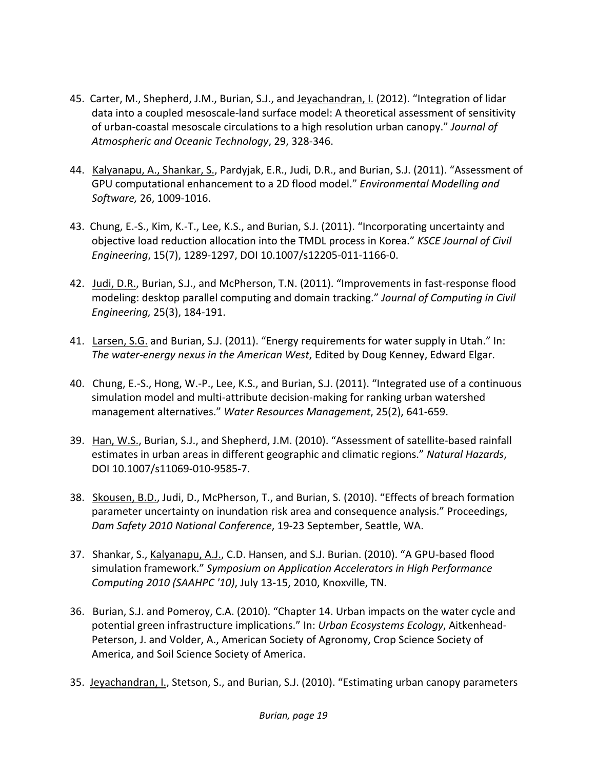- 45. Carter, M., Shepherd, J.M., Burian, S.J., and Jeyachandran, I. (2012). "Integration of lidar data into a coupled mesoscale‐land surface model: A theoretical assessment of sensitivity of urban‐coastal mesoscale circulations to a high resolution urban canopy." *Journal of Atmospheric and Oceanic Technology*, 29, 328‐346.
- 44. Kalyanapu, A., Shankar, S., Pardyjak, E.R., Judi, D.R., and Burian, S.J. (2011). "Assessment of GPU computational enhancement to a 2D flood model." *Environmental Modelling and Software,* 26, 1009‐1016.
- 43. Chung, E.‐S., Kim, K.‐T., Lee, K.S., and Burian, S.J. (2011). "Incorporating uncertainty and objective load reduction allocation into the TMDL process in Korea." *KSCE Journal of Civil Engineering*, 15(7), 1289‐1297, DOI 10.1007/s12205‐011‐1166‐0.
- 42. Judi, D.R., Burian, S.J., and McPherson, T.N. (2011). "Improvements in fast-response flood modeling: desktop parallel computing and domain tracking." *Journal of Computing in Civil Engineering,* 25(3), 184‐191.
- 41. Larsen, S.G. and Burian, S.J. (2011). "Energy requirements for water supply in Utah." In: *The water‐energy nexus in the American West*, Edited by Doug Kenney, Edward Elgar.
- 40. Chung, E.-S., Hong, W.-P., Lee, K.S., and Burian, S.J. (2011). "Integrated use of a continuous simulation model and multi‐attribute decision‐making for ranking urban watershed management alternatives." *Water Resources Management*, 25(2), 641‐659.
- 39. Han, W.S., Burian, S.J., and Shepherd, J.M. (2010). "Assessment of satellite-based rainfall estimates in urban areas in different geographic and climatic regions." *Natural Hazards*, DOI 10.1007/s11069‐010‐9585‐7.
- 38. Skousen, B.D., Judi, D., McPherson, T., and Burian, S. (2010). "Effects of breach formation parameter uncertainty on inundation risk area and consequence analysis." Proceedings, *Dam Safety 2010 National Conference*, 19‐23 September, Seattle, WA.
- 37. Shankar, S., Kalyanapu, A.J., C.D. Hansen, and S.J. Burian. (2010). "A GPU‐based flood simulation framework." *Symposium on Application Accelerators in High Performance Computing 2010 (SAAHPC '10)*, July 13‐15, 2010, Knoxville, TN.
- 36. Burian, S.J. and Pomeroy, C.A. (2010). "Chapter 14. Urban impacts on the water cycle and potential green infrastructure implications." In: *Urban Ecosystems Ecology*, Aitkenhead‐ Peterson, J. and Volder, A., American Society of Agronomy, Crop Science Society of America, and Soil Science Society of America.
- 35. Jeyachandran, I., Stetson, S., and Burian, S.J. (2010). "Estimating urban canopy parameters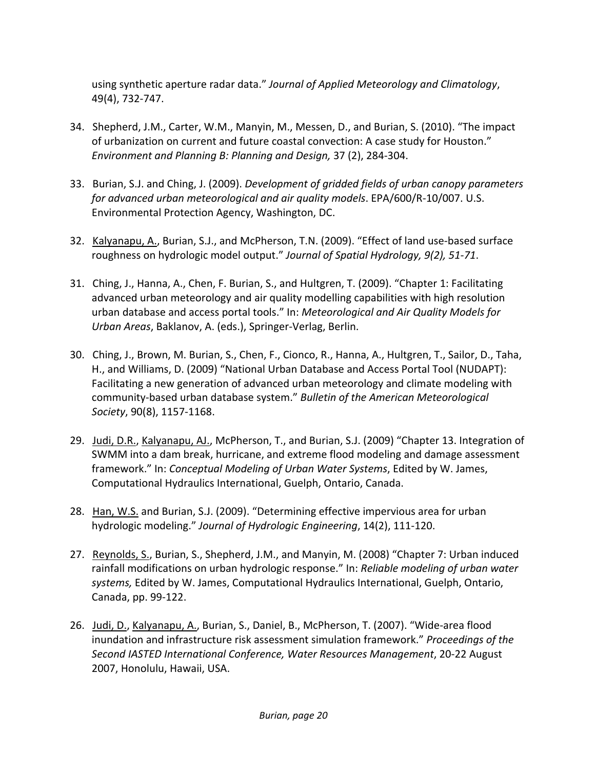using synthetic aperture radar data." *Journal of Applied Meteorology and Climatology*, 49(4), 732‐747.

- 34. Shepherd, J.M., Carter, W.M., Manyin, M., Messen, D., and Burian, S. (2010). "The impact of urbanization on current and future coastal convection: A case study for Houston." *Environment and Planning B: Planning and Design,* 37 (2), 284‐304.
- 33. Burian, S.J. and Ching, J. (2009). *Development of gridded fields of urban canopy parameters for advanced urban meteorological and air quality models*. EPA/600/R‐10/007. U.S. Environmental Protection Agency, Washington, DC.
- 32. Kalyanapu, A., Burian, S.J., and McPherson, T.N. (2009). "Effect of land use‐based surface roughness on hydrologic model output." *Journal of Spatial Hydrology, 9(2), 51‐71*.
- 31. Ching, J., Hanna, A., Chen, F. Burian, S., and Hultgren, T. (2009). "Chapter 1: Facilitating advanced urban meteorology and air quality modelling capabilities with high resolution urban database and access portal tools." In: *Meteorological and Air Quality Models for Urban Areas*, Baklanov, A. (eds.), Springer‐Verlag, Berlin.
- 30. Ching, J., Brown, M. Burian, S., Chen, F., Cionco, R., Hanna, A., Hultgren, T., Sailor, D., Taha, H., and Williams, D. (2009) "National Urban Database and Access Portal Tool (NUDAPT): Facilitating a new generation of advanced urban meteorology and climate modeling with community‐based urban database system." *Bulletin of the American Meteorological Society*, 90(8), 1157‐1168.
- 29. Judi, D.R., Kalyanapu, AJ., McPherson, T., and Burian, S.J. (2009) "Chapter 13. Integration of SWMM into a dam break, hurricane, and extreme flood modeling and damage assessment framework." In: *Conceptual Modeling of Urban Water Systems*, Edited by W. James, Computational Hydraulics International, Guelph, Ontario, Canada.
- 28. Han, W.S. and Burian, S.J. (2009). "Determining effective impervious area for urban hydrologic modeling." *Journal of Hydrologic Engineering*, 14(2), 111‐120.
- 27. Reynolds, S., Burian, S., Shepherd, J.M., and Manyin, M. (2008) "Chapter 7: Urban induced rainfall modifications on urban hydrologic response." In: *Reliable modeling of urban water systems,* Edited by W. James, Computational Hydraulics International, Guelph, Ontario, Canada, pp. 99‐122.
- 26. Judi, D., Kalyanapu, A., Burian, S., Daniel, B., McPherson, T. (2007). "Wide-area flood inundation and infrastructure risk assessment simulation framework." *Proceedings of the Second IASTED International Conference, Water Resources Management*, 20‐22 August 2007, Honolulu, Hawaii, USA.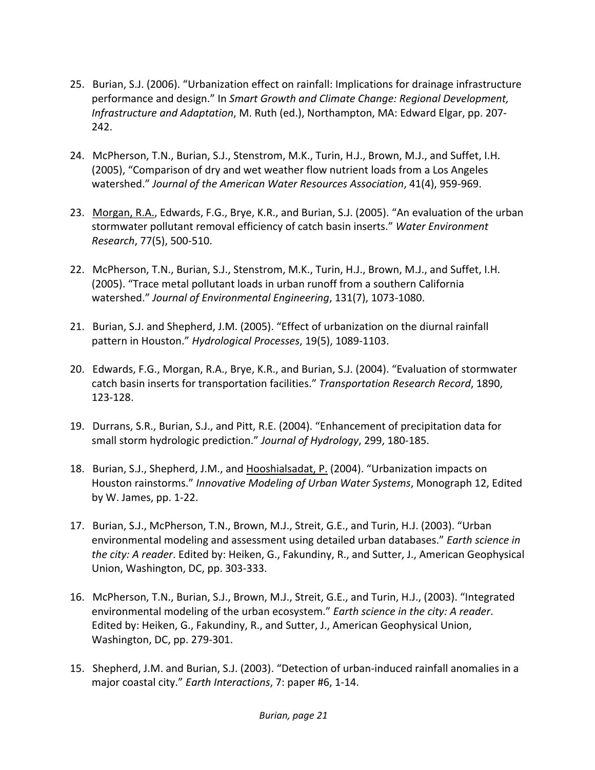- 25. Burian, S.J. (2006). "Urbanization effect on rainfall: Implications for drainage infrastructure performance and design." In *Smart Growth and Climate Change: Regional Development, Infrastructure and Adaptation*, M. Ruth (ed.), Northampton, MA: Edward Elgar, pp. 207‐ 242.
- 24. McPherson, T.N., Burian, S.J., Stenstrom, M.K., Turin, H.J., Brown, M.J., and Suffet, I.H. (2005), "Comparison of dry and wet weather flow nutrient loads from a Los Angeles watershed." *Journal of the American Water Resources Association*, 41(4), 959‐969.
- 23. Morgan, R.A., Edwards, F.G., Brye, K.R., and Burian, S.J. (2005). "An evaluation of the urban stormwater pollutant removal efficiency of catch basin inserts." *Water Environment Research*, 77(5), 500‐510.
- 22. McPherson, T.N., Burian, S.J., Stenstrom, M.K., Turin, H.J., Brown, M.J., and Suffet, I.H. (2005). "Trace metal pollutant loads in urban runoff from a southern California watershed." *Journal of Environmental Engineering*, 131(7), 1073‐1080.
- 21. Burian, S.J. and Shepherd, J.M. (2005). "Effect of urbanization on the diurnal rainfall pattern in Houston." *Hydrological Processes*, 19(5), 1089‐1103.
- 20. Edwards, F.G., Morgan, R.A., Brye, K.R., and Burian, S.J. (2004). "Evaluation of stormwater catch basin inserts for transportation facilities." *Transportation Research Record*, 1890, 123‐128.
- 19. Durrans, S.R., Burian, S.J., and Pitt, R.E. (2004). "Enhancement of precipitation data for small storm hydrologic prediction." *Journal of Hydrology*, 299, 180‐185.
- 18. Burian, S.J., Shepherd, J.M., and Hooshialsadat, P. (2004). "Urbanization impacts on Houston rainstorms." *Innovative Modeling of Urban Water Systems*, Monograph 12, Edited by W. James, pp. 1‐22.
- 17. Burian, S.J., McPherson, T.N., Brown, M.J., Streit, G.E., and Turin, H.J. (2003). "Urban environmental modeling and assessment using detailed urban databases." *Earth science in the city: A reader*. Edited by: Heiken, G., Fakundiny, R., and Sutter, J., American Geophysical Union, Washington, DC, pp. 303‐333.
- 16. McPherson, T.N., Burian, S.J., Brown, M.J., Streit, G.E., and Turin, H.J., (2003). "Integrated environmental modeling of the urban ecosystem." *Earth science in the city: A reader*. Edited by: Heiken, G., Fakundiny, R., and Sutter, J., American Geophysical Union, Washington, DC, pp. 279‐301.
- 15. Shepherd, J.M. and Burian, S.J. (2003). "Detection of urban‐induced rainfall anomalies in a major coastal city." *Earth Interactions*, 7: paper #6, 1‐14.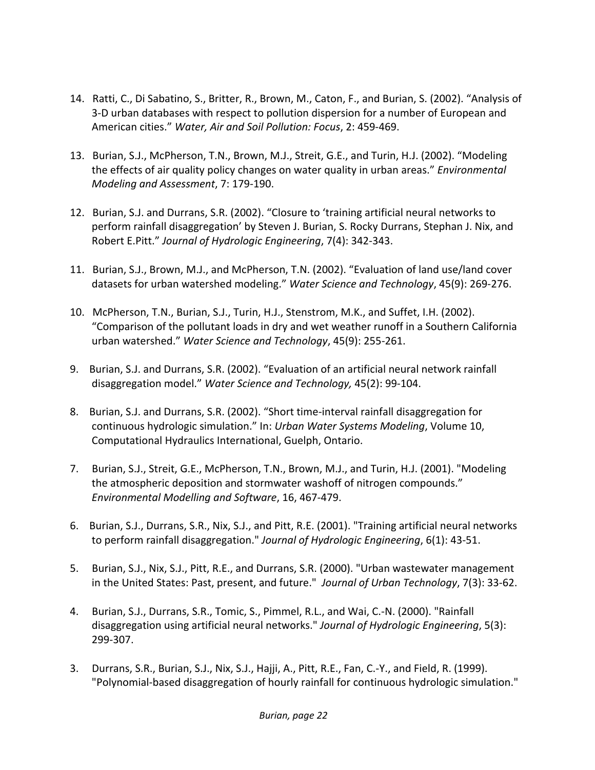- 14. Ratti, C., Di Sabatino, S., Britter, R., Brown, M., Caton, F., and Burian, S. (2002). "Analysis of 3‐D urban databases with respect to pollution dispersion for a number of European and American cities." *Water, Air and Soil Pollution: Focus*, 2: 459‐469.
- 13. Burian, S.J., McPherson, T.N., Brown, M.J., Streit, G.E., and Turin, H.J. (2002). "Modeling the effects of air quality policy changes on water quality in urban areas." *Environmental Modeling and Assessment*, 7: 179‐190.
- 12. Burian, S.J. and Durrans, S.R. (2002). "Closure to 'training artificial neural networks to perform rainfall disaggregation' by Steven J. Burian, S. Rocky Durrans, Stephan J. Nix, and Robert E.Pitt." *Journal of Hydrologic Engineering*, 7(4): 342‐343.
- 11. Burian, S.J., Brown, M.J., and McPherson, T.N. (2002). "Evaluation of land use/land cover datasets for urban watershed modeling." *Water Science and Technology*, 45(9): 269‐276.
- 10. McPherson, T.N., Burian, S.J., Turin, H.J., Stenstrom, M.K., and Suffet, I.H. (2002). "Comparison of the pollutant loads in dry and wet weather runoff in a Southern California urban watershed." *Water Science and Technology*, 45(9): 255‐261.
- 9. Burian, S.J. and Durrans, S.R. (2002). "Evaluation of an artificial neural network rainfall disaggregation model." *Water Science and Technology,* 45(2): 99‐104.
- 8. Burian, S.J. and Durrans, S.R. (2002). "Short time-interval rainfall disaggregation for continuous hydrologic simulation." In: *Urban Water Systems Modeling*, Volume 10, Computational Hydraulics International, Guelph, Ontario.
- 7. Burian, S.J., Streit, G.E., McPherson, T.N., Brown, M.J., and Turin, H.J. (2001). "Modeling the atmospheric deposition and stormwater washoff of nitrogen compounds." *Environmental Modelling and Software*, 16, 467‐479.
- 6. Burian, S.J., Durrans, S.R., Nix, S.J., and Pitt, R.E. (2001). "Training artificial neural networks to perform rainfall disaggregation." *Journal of Hydrologic Engineering*, 6(1): 43‐51.
- 5. Burian, S.J., Nix, S.J., Pitt, R.E., and Durrans, S.R. (2000). "Urban wastewater management in the United States: Past, present, and future." *Journal of Urban Technology*, 7(3): 33‐62.
- 4. Burian, S.J., Durrans, S.R., Tomic, S., Pimmel, R.L., and Wai, C.-N. (2000). "Rainfall disaggregation using artificial neural networks." *Journal of Hydrologic Engineering*, 5(3): 299‐307.
- 3. Durrans, S.R., Burian, S.J., Nix, S.J., Hajji, A., Pitt, R.E., Fan, C.‐Y., and Field, R. (1999). "Polynomial‐based disaggregation of hourly rainfall for continuous hydrologic simulation."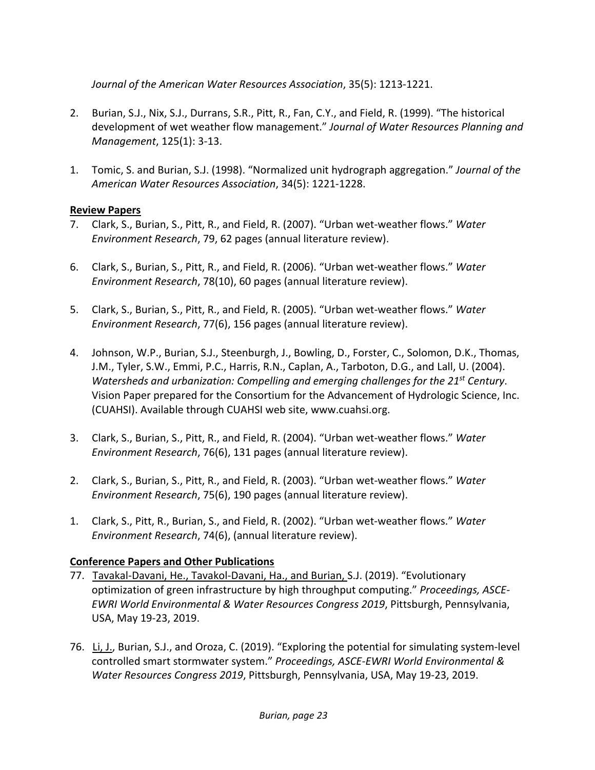*Journal of the American Water Resources Association*, 35(5): 1213‐1221.

- 2. Burian, S.J., Nix, S.J., Durrans, S.R., Pitt, R., Fan, C.Y., and Field, R. (1999). "The historical development of wet weather flow management." *Journal of Water Resources Planning and Management*, 125(1): 3‐13.
- 1. Tomic, S. and Burian, S.J. (1998). "Normalized unit hydrograph aggregation." *Journal of the American Water Resources Association*, 34(5): 1221‐1228.

#### **Review Papers**

- 7. Clark, S., Burian, S., Pitt, R., and Field, R. (2007). "Urban wet‐weather flows." *Water Environment Research*, 79, 62 pages (annual literature review).
- 6. Clark, S., Burian, S., Pitt, R., and Field, R. (2006). "Urban wet‐weather flows." *Water Environment Research*, 78(10), 60 pages (annual literature review).
- 5. Clark, S., Burian, S., Pitt, R., and Field, R. (2005). "Urban wet‐weather flows." *Water Environment Research*, 77(6), 156 pages (annual literature review).
- 4. Johnson, W.P., Burian, S.J., Steenburgh, J., Bowling, D., Forster, C., Solomon, D.K., Thomas, J.M., Tyler, S.W., Emmi, P.C., Harris, R.N., Caplan, A., Tarboton, D.G., and Lall, U. (2004). *Watersheds and urbanization: Compelling and emerging challenges for the 21st Century*. Vision Paper prepared for the Consortium for the Advancement of Hydrologic Science, Inc. (CUAHSI). Available through CUAHSI web site, www.cuahsi.org.
- 3. Clark, S., Burian, S., Pitt, R., and Field, R. (2004). "Urban wet‐weather flows." *Water Environment Research*, 76(6), 131 pages (annual literature review).
- 2. Clark, S., Burian, S., Pitt, R., and Field, R. (2003). "Urban wet‐weather flows." *Water Environment Research*, 75(6), 190 pages (annual literature review).
- 1. Clark, S., Pitt, R., Burian, S., and Field, R. (2002). "Urban wet‐weather flows." *Water Environment Research*, 74(6), (annual literature review).

# **Conference Papers and Other Publications**

- 77. Tavakal-Davani, He., Tavakol-Davani, Ha., and Burian, S.J. (2019). "Evolutionary optimization of green infrastructure by high throughput computing." *Proceedings, ASCE‐ EWRI World Environmental & Water Resources Congress 2019*, Pittsburgh, Pennsylvania, USA, May 19‐23, 2019.
- 76.Li, J., Burian, S.J., and Oroza, C. (2019). "Exploring the potential for simulating system‐level controlled smart stormwater system." *Proceedings, ASCE‐EWRI World Environmental & Water Resources Congress 2019*, Pittsburgh, Pennsylvania, USA, May 19‐23, 2019.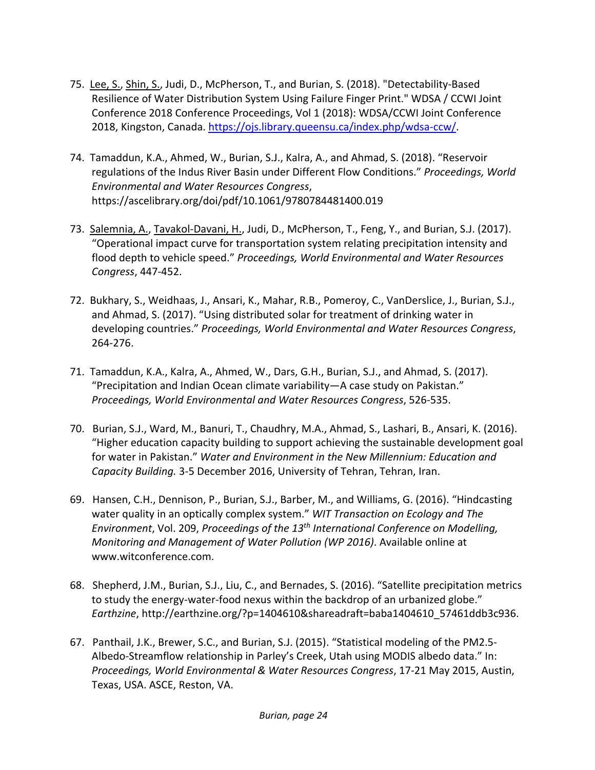- 75. Lee, S., Shin, S., Judi, D., McPherson, T., and Burian, S. (2018). "Detectability‐Based Resilience of Water Distribution System Using Failure Finger Print." WDSA / CCWI Joint Conference 2018 Conference Proceedings, Vol 1 (2018): WDSA/CCWI Joint Conference 2018, Kingston, Canada. https://ojs.library.queensu.ca/index.php/wdsa‐ccw/.
- 74. Tamaddun, K.A., Ahmed, W., Burian, S.J., Kalra, A., and Ahmad, S. (2018). "Reservoir regulations of the Indus River Basin under Different Flow Conditions." *Proceedings, World Environmental and Water Resources Congress*, https://ascelibrary.org/doi/pdf/10.1061/9780784481400.019
- 73. Salemnia, A., Tavakol-Davani, H., Judi, D., McPherson, T., Feng, Y., and Burian, S.J. (2017). "Operational impact curve for transportation system relating precipitation intensity and flood depth to vehicle speed." *Proceedings, World Environmental and Water Resources Congress*, 447‐452.
- 72. Bukhary, S., Weidhaas, J., Ansari, K., Mahar, R.B., Pomeroy, C., VanDerslice, J., Burian, S.J., and Ahmad, S. (2017). "Using distributed solar for treatment of drinking water in developing countries." *Proceedings, World Environmental and Water Resources Congress*, 264‐276.
- 71. Tamaddun, K.A., Kalra, A., Ahmed, W., Dars, G.H., Burian, S.J., and Ahmad, S. (2017). "Precipitation and Indian Ocean climate variability—A case study on Pakistan." *Proceedings, World Environmental and Water Resources Congress*, 526‐535.
- 70. Burian, S.J., Ward, M., Banuri, T., Chaudhry, M.A., Ahmad, S., Lashari, B., Ansari, K. (2016). "Higher education capacity building to support achieving the sustainable development goal for water in Pakistan." *Water and Environment in the New Millennium: Education and Capacity Building.* 3‐5 December 2016, University of Tehran, Tehran, Iran.
- 69. Hansen, C.H., Dennison, P., Burian, S.J., Barber, M., and Williams, G. (2016). "Hindcasting water quality in an optically complex system." *WIT Transaction on Ecology and The Environment*, Vol. 209, *Proceedings of the 13th International Conference on Modelling, Monitoring and Management of Water Pollution (WP 2016)*. Available online at www.witconference.com.
- 68. Shepherd, J.M., Burian, S.J., Liu, C., and Bernades, S. (2016). "Satellite precipitation metrics to study the energy-water-food nexus within the backdrop of an urbanized globe." *Earthzine*, http://earthzine.org/?p=1404610&shareadraft=baba1404610\_57461ddb3c936.
- 67. Panthail, J.K., Brewer, S.C., and Burian, S.J. (2015). "Statistical modeling of the PM2.5‐ Albedo‐Streamflow relationship in Parley's Creek, Utah using MODIS albedo data." In: *Proceedings, World Environmental & Water Resources Congress*, 17‐21 May 2015, Austin, Texas, USA. ASCE, Reston, VA.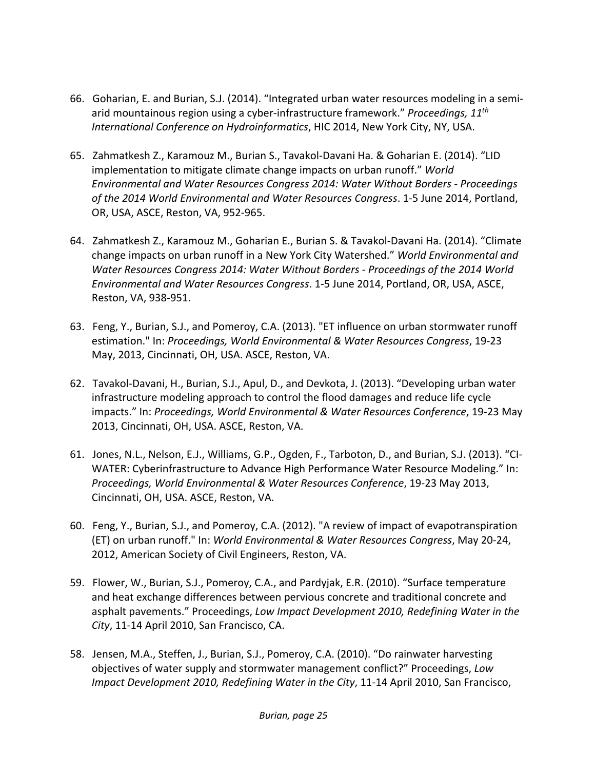- 66. Goharian, E. and Burian, S.J. (2014). "Integrated urban water resources modeling in a semi‐ arid mountainous region using a cyber‐infrastructure framework." *Proceedings, 11th International Conference on Hydroinformatics*, HIC 2014, New York City, NY, USA.
- 65. Zahmatkesh Z., Karamouz M., Burian S., Tavakol‐Davani Ha. & Goharian E. (2014). "LID implementation to mitigate climate change impacts on urban runoff." *World Environmental and Water Resources Congress 2014: Water Without Borders ‐ Proceedings of the 2014 World Environmental and Water Resources Congress*. 1‐5 June 2014, Portland, OR, USA, ASCE, Reston, VA, 952‐965.
- 64. Zahmatkesh Z., Karamouz M., Goharian E., Burian S. & Tavakol‐Davani Ha. (2014). "Climate change impacts on urban runoff in a New York City Watershed." *World Environmental and Water Resources Congress 2014: Water Without Borders ‐ Proceedings of the 2014 World Environmental and Water Resources Congress*. 1‐5 June 2014, Portland, OR, USA, ASCE, Reston, VA, 938‐951.
- 63. Feng, Y., Burian, S.J., and Pomeroy, C.A. (2013). "ET influence on urban stormwater runoff estimation." In: *Proceedings, World Environmental & Water Resources Congress*, 19‐23 May, 2013, Cincinnati, OH, USA. ASCE, Reston, VA.
- 62. Tavakol‐Davani, H., Burian, S.J., Apul, D., and Devkota, J. (2013). "Developing urban water infrastructure modeling approach to control the flood damages and reduce life cycle impacts." In: *Proceedings, World Environmental & Water Resources Conference*, 19‐23 May 2013, Cincinnati, OH, USA. ASCE, Reston, VA.
- 61. Jones, N.L., Nelson, E.J., Williams, G.P., Ogden, F., Tarboton, D., and Burian, S.J. (2013). "CI‐ WATER: Cyberinfrastructure to Advance High Performance Water Resource Modeling." In: *Proceedings, World Environmental & Water Resources Conference*, 19‐23 May 2013, Cincinnati, OH, USA. ASCE, Reston, VA.
- 60. Feng, Y., Burian, S.J., and Pomeroy, C.A. (2012). "A review of impact of evapotranspiration (ET) on urban runoff." In: *World Environmental & Water Resources Congress*, May 20‐24, 2012, American Society of Civil Engineers, Reston, VA.
- 59. Flower, W., Burian, S.J., Pomeroy, C.A., and Pardyjak, E.R. (2010). "Surface temperature and heat exchange differences between pervious concrete and traditional concrete and asphalt pavements." Proceedings, *Low Impact Development 2010, Redefining Water in the City*, 11‐14 April 2010, San Francisco, CA.
- 58. Jensen, M.A., Steffen, J., Burian, S.J., Pomeroy, C.A. (2010). "Do rainwater harvesting objectives of water supply and stormwater management conflict?" Proceedings, *Low Impact Development 2010, Redefining Water in the City*, 11‐14 April 2010, San Francisco,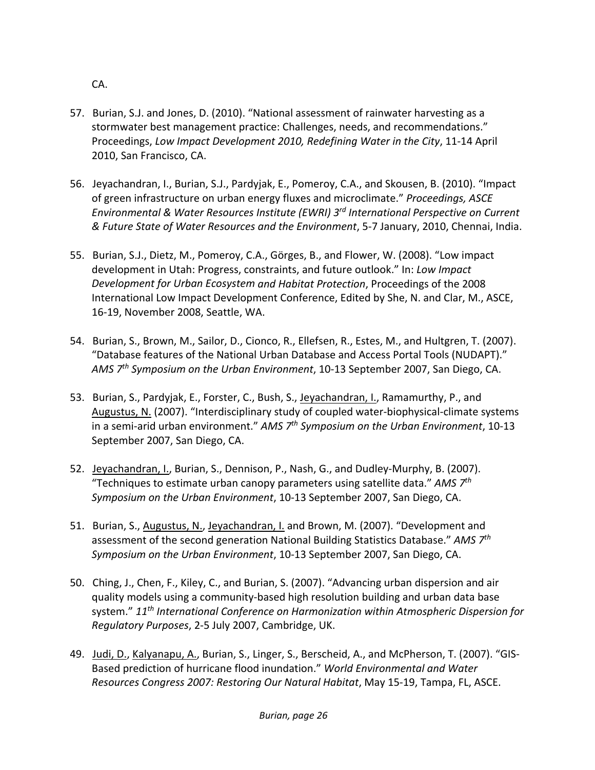CA.

- 57. Burian, S.J. and Jones, D. (2010). "National assessment of rainwater harvesting as a stormwater best management practice: Challenges, needs, and recommendations." Proceedings, *Low Impact Development 2010, Redefining Water in the City*, 11‐14 April 2010, San Francisco, CA.
- 56. Jeyachandran, I., Burian, S.J., Pardyjak, E., Pomeroy, C.A., and Skousen, B. (2010). "Impact of green infrastructure on urban energy fluxes and microclimate." *Proceedings, ASCE Environmental & Water Resources Institute (EWRI) 3rd International Perspective on Current & Future State of Water Resources and the Environment*, 5‐7 January, 2010, Chennai, India.
- 55. Burian, S.J., Dietz, M., Pomeroy, C.A., Görges, B., and Flower, W. (2008). "Low impact development in Utah: Progress, constraints, and future outlook." In: *Low Impact Development for Urban Ecosystem and Habitat Protection*, Proceedings of the 2008 International Low Impact Development Conference, Edited by She, N. and Clar, M., ASCE, 16‐19, November 2008, Seattle, WA.
- 54. Burian, S., Brown, M., Sailor, D., Cionco, R., Ellefsen, R., Estes, M., and Hultgren, T. (2007). "Database features of the National Urban Database and Access Portal Tools (NUDAPT)." *AMS 7th Symposium on the Urban Environment*, 10‐13 September 2007, San Diego, CA.
- 53. Burian, S., Pardyjak, E., Forster, C., Bush, S., Jeyachandran, I., Ramamurthy, P., and Augustus, N. (2007). "Interdisciplinary study of coupled water‐biophysical‐climate systems in a semi‐arid urban environment." *AMS 7th Symposium on the Urban Environment*, 10‐13 September 2007, San Diego, CA.
- 52. Jeyachandran, I., Burian, S., Dennison, P., Nash, G., and Dudley‐Murphy, B. (2007). "Techniques to estimate urban canopy parameters using satellite data." *AMS 7th Symposium on the Urban Environment*, 10‐13 September 2007, San Diego, CA.
- 51. Burian, S., Augustus, N., Jeyachandran, I. and Brown, M. (2007). "Development and assessment of the second generation National Building Statistics Database." *AMS 7th Symposium on the Urban Environment*, 10‐13 September 2007, San Diego, CA.
- 50. Ching, J., Chen, F., Kiley, C., and Burian, S. (2007). "Advancing urban dispersion and air quality models using a community‐based high resolution building and urban data base system." *11th International Conference on Harmonization within Atmospheric Dispersion for Regulatory Purposes*, 2‐5 July 2007, Cambridge, UK.
- 49. Judi, D., Kalyanapu, A., Burian, S., Linger, S., Berscheid, A., and McPherson, T. (2007). "GIS-Based prediction of hurricane flood inundation." *World Environmental and Water Resources Congress 2007: Restoring Our Natural Habitat*, May 15‐19, Tampa, FL, ASCE.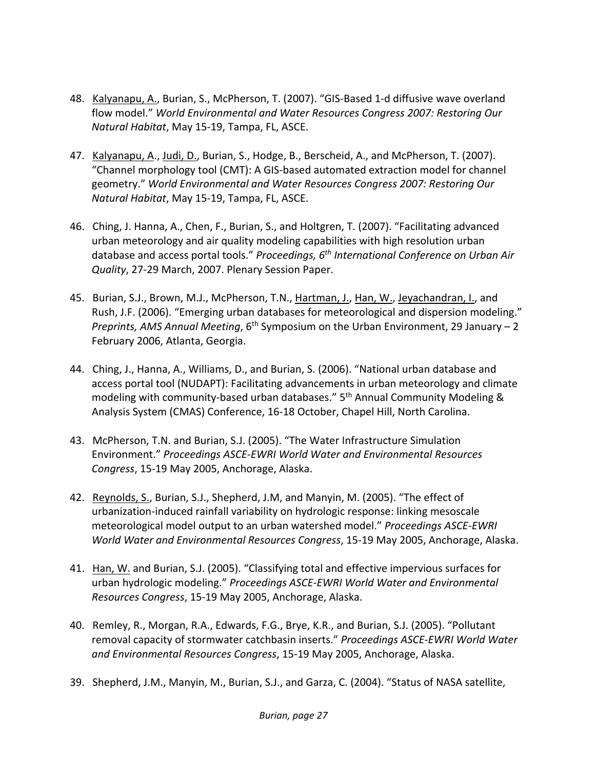- 48. Kalyanapu, A., Burian, S., McPherson, T. (2007). "GIS‐Based 1‐d diffusive wave overland flow model." *World Environmental and Water Resources Congress 2007: Restoring Our Natural Habitat*, May 15‐19, Tampa, FL, ASCE.
- 47. Kalyanapu, A., Judi, D., Burian, S., Hodge, B., Berscheid, A., and McPherson, T. (2007). "Channel morphology tool (CMT): A GIS‐based automated extraction model for channel geometry." *World Environmental and Water Resources Congress 2007: Restoring Our Natural Habitat*, May 15‐19, Tampa, FL, ASCE.
- 46. Ching, J. Hanna, A., Chen, F., Burian, S., and Holtgren, T. (2007). "Facilitating advanced urban meteorology and air quality modeling capabilities with high resolution urban database and access portal tools." *Proceedings, 6th International Conference on Urban Air Quality*, 27‐29 March, 2007. Plenary Session Paper.
- 45. Burian, S.J., Brown, M.J., McPherson, T.N., Hartman, J., Han, W., Jeyachandran, L., and Rush, J.F. (2006). "Emerging urban databases for meteorological and dispersion modeling." *Preprints, AMS Annual Meeting*, 6th Symposium on the Urban Environment, 29 January – 2 February 2006, Atlanta, Georgia.
- 44. Ching, J., Hanna, A., Williams, D., and Burian, S. (2006). "National urban database and access portal tool (NUDAPT): Facilitating advancements in urban meteorology and climate modeling with community-based urban databases." 5<sup>th</sup> Annual Community Modeling & Analysis System (CMAS) Conference, 16‐18 October, Chapel Hill, North Carolina.
- 43. McPherson, T.N. and Burian, S.J. (2005). "The Water Infrastructure Simulation Environment." *Proceedings ASCE‐EWRI World Water and Environmental Resources Congress*, 15‐19 May 2005, Anchorage, Alaska.
- 42. Reynolds, S., Burian, S.J., Shepherd, J.M, and Manyin, M. (2005). "The effect of urbanization‐induced rainfall variability on hydrologic response: linking mesoscale meteorological model output to an urban watershed model." *Proceedings ASCE‐EWRI World Water and Environmental Resources Congress*, 15‐19 May 2005, Anchorage, Alaska.
- 41. Han, W. and Burian, S.J. (2005). "Classifying total and effective impervious surfaces for urban hydrologic modeling." *Proceedings ASCE‐EWRI World Water and Environmental Resources Congress*, 15‐19 May 2005, Anchorage, Alaska.
- 40. Remley, R., Morgan, R.A., Edwards, F.G., Brye, K.R., and Burian, S.J. (2005). "Pollutant removal capacity of stormwater catchbasin inserts." *Proceedings ASCE‐EWRI World Water and Environmental Resources Congress*, 15‐19 May 2005, Anchorage, Alaska.
- 39. Shepherd, J.M., Manyin, M., Burian, S.J., and Garza, C. (2004). "Status of NASA satellite,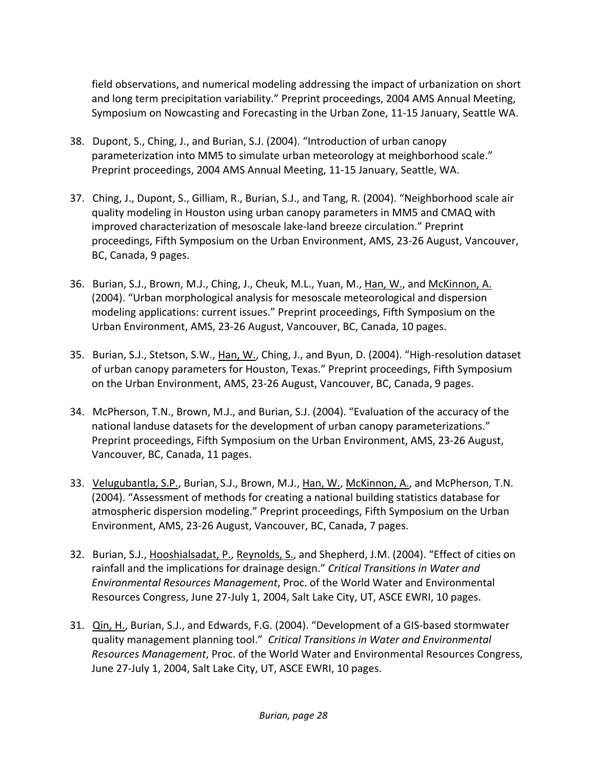field observations, and numerical modeling addressing the impact of urbanization on short and long term precipitation variability." Preprint proceedings, 2004 AMS Annual Meeting, Symposium on Nowcasting and Forecasting in the Urban Zone, 11‐15 January, Seattle WA.

- 38. Dupont, S., Ching, J., and Burian, S.J. (2004). "Introduction of urban canopy parameterization into MM5 to simulate urban meteorology at meighborhood scale." Preprint proceedings, 2004 AMS Annual Meeting, 11‐15 January, Seattle, WA.
- 37. Ching, J., Dupont, S., Gilliam, R., Burian, S.J., and Tang, R. (2004). "Neighborhood scale air quality modeling in Houston using urban canopy parameters in MM5 and CMAQ with improved characterization of mesoscale lake‐land breeze circulation." Preprint proceedings, Fifth Symposium on the Urban Environment, AMS, 23‐26 August, Vancouver, BC, Canada, 9 pages.
- 36. Burian, S.J., Brown, M.J., Ching, J., Cheuk, M.L., Yuan, M., Han, W., and McKinnon, A. (2004). "Urban morphological analysis for mesoscale meteorological and dispersion modeling applications: current issues." Preprint proceedings, Fifth Symposium on the Urban Environment, AMS, 23‐26 August, Vancouver, BC, Canada, 10 pages.
- 35. Burian, S.J., Stetson, S.W., Han, W., Ching, J., and Byun, D. (2004). "High‐resolution dataset of urban canopy parameters for Houston, Texas." Preprint proceedings, Fifth Symposium on the Urban Environment, AMS, 23‐26 August, Vancouver, BC, Canada, 9 pages.
- 34. McPherson, T.N., Brown, M.J., and Burian, S.J. (2004). "Evaluation of the accuracy of the national landuse datasets for the development of urban canopy parameterizations." Preprint proceedings, Fifth Symposium on the Urban Environment, AMS, 23‐26 August, Vancouver, BC, Canada, 11 pages.
- 33. Velugubantla, S.P., Burian, S.J., Brown, M.J., Han, W., McKinnon, A., and McPherson, T.N. (2004). "Assessment of methods for creating a national building statistics database for atmospheric dispersion modeling." Preprint proceedings, Fifth Symposium on the Urban Environment, AMS, 23‐26 August, Vancouver, BC, Canada, 7 pages.
- 32. Burian, S.J., Hooshialsadat, P., Reynolds, S., and Shepherd, J.M. (2004). "Effect of cities on rainfall and the implications for drainage design." *Critical Transitions in Water and Environmental Resources Management*, Proc. of the World Water and Environmental Resources Congress, June 27‐July 1, 2004, Salt Lake City, UT, ASCE EWRI, 10 pages.
- 31. Qin, H., Burian, S.J., and Edwards, F.G. (2004). "Development of a GIS-based stormwater quality management planning tool." *Critical Transitions in Water and Environmental Resources Management*, Proc. of the World Water and Environmental Resources Congress, June 27‐July 1, 2004, Salt Lake City, UT, ASCE EWRI, 10 pages.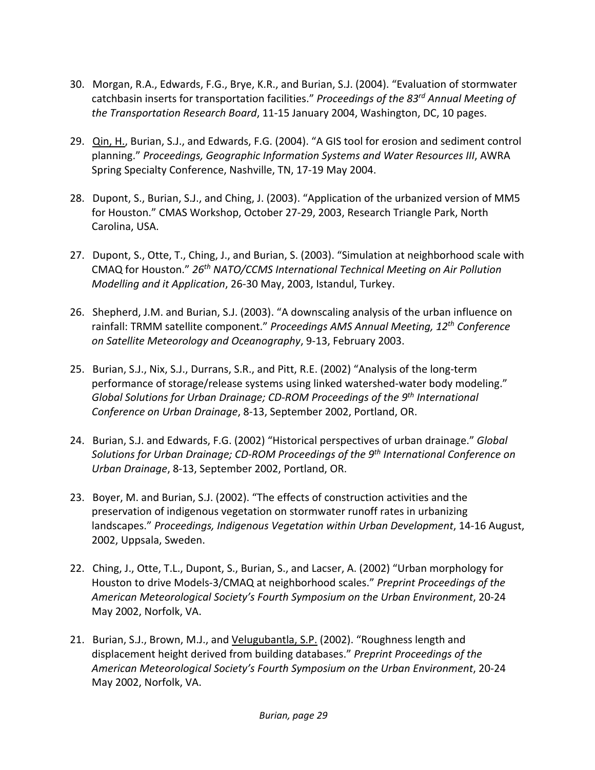- 30. Morgan, R.A., Edwards, F.G., Brye, K.R., and Burian, S.J. (2004). "Evaluation of stormwater catchbasin inserts for transportation facilities." *Proceedings of the 83rd Annual Meeting of the Transportation Research Board*, 11‐15 January 2004, Washington, DC, 10 pages.
- 29. Qin, H., Burian, S.J., and Edwards, F.G. (2004). "A GIS tool for erosion and sediment control planning." *Proceedings, Geographic Information Systems and Water Resources III*, AWRA Spring Specialty Conference, Nashville, TN, 17‐19 May 2004.
- 28. Dupont, S., Burian, S.J., and Ching, J. (2003). "Application of the urbanized version of MM5 for Houston." CMAS Workshop, October 27‐29, 2003, Research Triangle Park, North Carolina, USA.
- 27. Dupont, S., Otte, T., Ching, J., and Burian, S. (2003). "Simulation at neighborhood scale with CMAQ for Houston." *26th NATO/CCMS International Technical Meeting on Air Pollution Modelling and it Application*, 26‐30 May, 2003, Istandul, Turkey.
- 26. Shepherd, J.M. and Burian, S.J. (2003). "A downscaling analysis of the urban influence on rainfall: TRMM satellite component." *Proceedings AMS Annual Meeting, 12th Conference on Satellite Meteorology and Oceanography*, 9‐13, February 2003.
- 25. Burian, S.J., Nix, S.J., Durrans, S.R., and Pitt, R.E. (2002) "Analysis of the long-term performance of storage/release systems using linked watershed‐water body modeling." *Global Solutions for Urban Drainage; CD‐ROM Proceedings of the 9th International Conference on Urban Drainage*, 8‐13, September 2002, Portland, OR.
- 24. Burian, S.J. and Edwards, F.G. (2002) "Historical perspectives of urban drainage." *Global Solutions for Urban Drainage; CD‐ROM Proceedings of the 9th International Conference on Urban Drainage*, 8‐13, September 2002, Portland, OR.
- 23. Boyer, M. and Burian, S.J. (2002). "The effects of construction activities and the preservation of indigenous vegetation on stormwater runoff rates in urbanizing landscapes." *Proceedings, Indigenous Vegetation within Urban Development*, 14‐16 August, 2002, Uppsala, Sweden.
- 22. Ching, J., Otte, T.L., Dupont, S., Burian, S., and Lacser, A. (2002) "Urban morphology for Houston to drive Models‐3/CMAQ at neighborhood scales." *Preprint Proceedings of the American Meteorological Society's Fourth Symposium on the Urban Environment*, 20‐24 May 2002, Norfolk, VA.
- 21. Burian, S.J., Brown, M.J., and Velugubantla, S.P. (2002). "Roughness length and displacement height derived from building databases." *Preprint Proceedings of the American Meteorological Society's Fourth Symposium on the Urban Environment*, 20‐24 May 2002, Norfolk, VA.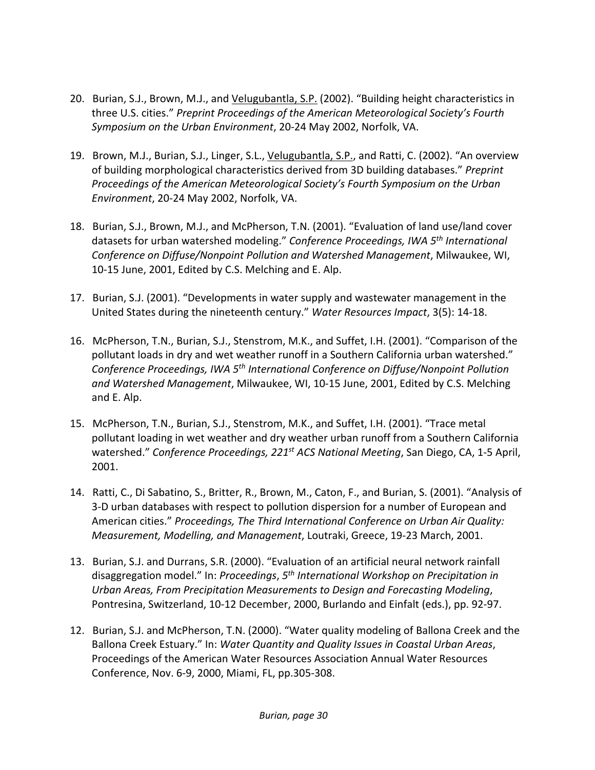- 20. Burian, S.J., Brown, M.J., and Velugubantla, S.P. (2002). "Building height characteristics in three U.S. cities." *Preprint Proceedings of the American Meteorological Society's Fourth Symposium on the Urban Environment*, 20‐24 May 2002, Norfolk, VA.
- 19. Brown, M.J., Burian, S.J., Linger, S.L., Velugubantla, S.P., and Ratti, C. (2002). "An overview of building morphological characteristics derived from 3D building databases." *Preprint Proceedings of the American Meteorological Society's Fourth Symposium on the Urban Environment*, 20‐24 May 2002, Norfolk, VA.
- 18. Burian, S.J., Brown, M.J., and McPherson, T.N. (2001). "Evaluation of land use/land cover datasets for urban watershed modeling." *Conference Proceedings, IWA 5th International Conference on Diffuse/Nonpoint Pollution and Watershed Management*, Milwaukee, WI, 10‐15 June, 2001, Edited by C.S. Melching and E. Alp.
- 17. Burian, S.J. (2001). "Developments in water supply and wastewater management in the United States during the nineteenth century." *Water Resources Impact*, 3(5): 14‐18.
- 16. McPherson, T.N., Burian, S.J., Stenstrom, M.K., and Suffet, I.H. (2001). "Comparison of the pollutant loads in dry and wet weather runoff in a Southern California urban watershed." *Conference Proceedings, IWA 5th International Conference on Diffuse/Nonpoint Pollution and Watershed Management*, Milwaukee, WI, 10‐15 June, 2001, Edited by C.S. Melching and E. Alp.
- 15. McPherson, T.N., Burian, S.J., Stenstrom, M.K., and Suffet, I.H. (2001). "Trace metal pollutant loading in wet weather and dry weather urban runoff from a Southern California watershed." *Conference Proceedings, 221st ACS National Meeting*, San Diego, CA, 1‐5 April, 2001.
- 14. Ratti, C., Di Sabatino, S., Britter, R., Brown, M., Caton, F., and Burian, S. (2001). "Analysis of 3‐D urban databases with respect to pollution dispersion for a number of European and American cities." *Proceedings, The Third International Conference on Urban Air Quality: Measurement, Modelling, and Management*, Loutraki, Greece, 19‐23 March, 2001.
- 13. Burian, S.J. and Durrans, S.R. (2000). "Evaluation of an artificial neural network rainfall disaggregation model." In: *Proceedings*, *5th International Workshop on Precipitation in Urban Areas, From Precipitation Measurements to Design and Forecasting Modeling*, Pontresina, Switzerland, 10‐12 December, 2000, Burlando and Einfalt (eds.), pp. 92‐97.
- 12. Burian, S.J. and McPherson, T.N. (2000). "Water quality modeling of Ballona Creek and the Ballona Creek Estuary." In: *Water Quantity and Quality Issues in Coastal Urban Areas*, Proceedings of the American Water Resources Association Annual Water Resources Conference, Nov. 6‐9, 2000, Miami, FL, pp.305‐308.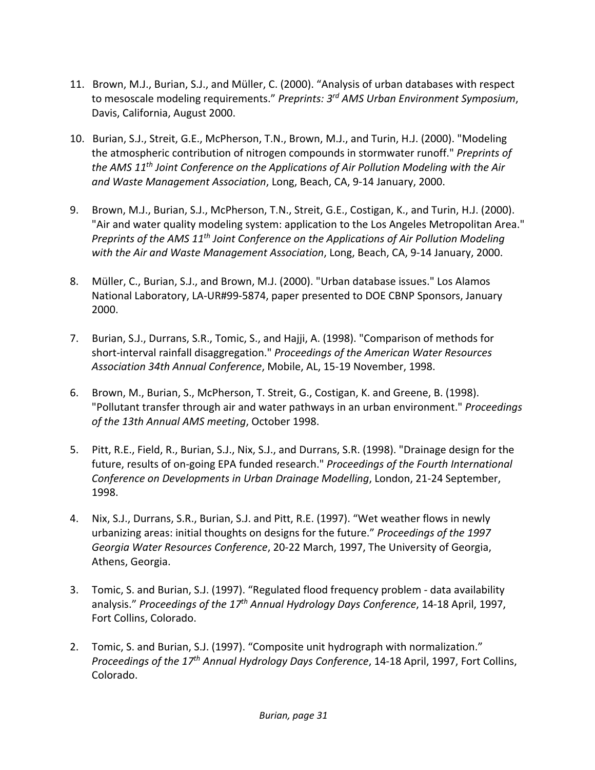- 11. Brown, M.J., Burian, S.J., and Müller, C. (2000). "Analysis of urban databases with respect to mesoscale modeling requirements." *Preprints: 3rd AMS Urban Environment Symposium*, Davis, California, August 2000.
- 10. Burian, S.J., Streit, G.E., McPherson, T.N., Brown, M.J., and Turin, H.J. (2000). "Modeling the atmospheric contribution of nitrogen compounds in stormwater runoff." *Preprints of the AMS 11th Joint Conference on the Applications of Air Pollution Modeling with the Air and Waste Management Association*, Long, Beach, CA, 9‐14 January, 2000.
- 9. Brown, M.J., Burian, S.J., McPherson, T.N., Streit, G.E., Costigan, K., and Turin, H.J. (2000). "Air and water quality modeling system: application to the Los Angeles Metropolitan Area." *Preprints of the AMS 11th Joint Conference on the Applications of Air Pollution Modeling with the Air and Waste Management Association*, Long, Beach, CA, 9‐14 January, 2000.
- 8. Müller, C., Burian, S.J., and Brown, M.J. (2000). "Urban database issues." Los Alamos National Laboratory, LA‐UR#99‐5874, paper presented to DOE CBNP Sponsors, January 2000.
- 7. Burian, S.J., Durrans, S.R., Tomic, S., and Hajji, A. (1998). "Comparison of methods for short‐interval rainfall disaggregation." *Proceedings of the American Water Resources Association 34th Annual Conference*, Mobile, AL, 15‐19 November, 1998.
- 6. Brown, M., Burian, S., McPherson, T. Streit, G., Costigan, K. and Greene, B. (1998). "Pollutant transfer through air and water pathways in an urban environment." *Proceedings of the 13th Annual AMS meeting*, October 1998.
- 5. Pitt, R.E., Field, R., Burian, S.J., Nix, S.J., and Durrans, S.R. (1998). "Drainage design for the future, results of on‐going EPA funded research." *Proceedings of the Fourth International Conference on Developments in Urban Drainage Modelling*, London, 21‐24 September, 1998.
- 4. Nix, S.J., Durrans, S.R., Burian, S.J. and Pitt, R.E. (1997). "Wet weather flows in newly urbanizing areas: initial thoughts on designs for the future." *Proceedings of the 1997 Georgia Water Resources Conference*, 20‐22 March, 1997, The University of Georgia, Athens, Georgia.
- 3. Tomic, S. and Burian, S.J. (1997). "Regulated flood frequency problem data availability analysis." *Proceedings of the 17th Annual Hydrology Days Conference*, 14‐18 April, 1997, Fort Collins, Colorado.
- 2. Tomic, S. and Burian, S.J. (1997). "Composite unit hydrograph with normalization." *Proceedings of the 17th Annual Hydrology Days Conference*, 14‐18 April, 1997, Fort Collins, Colorado.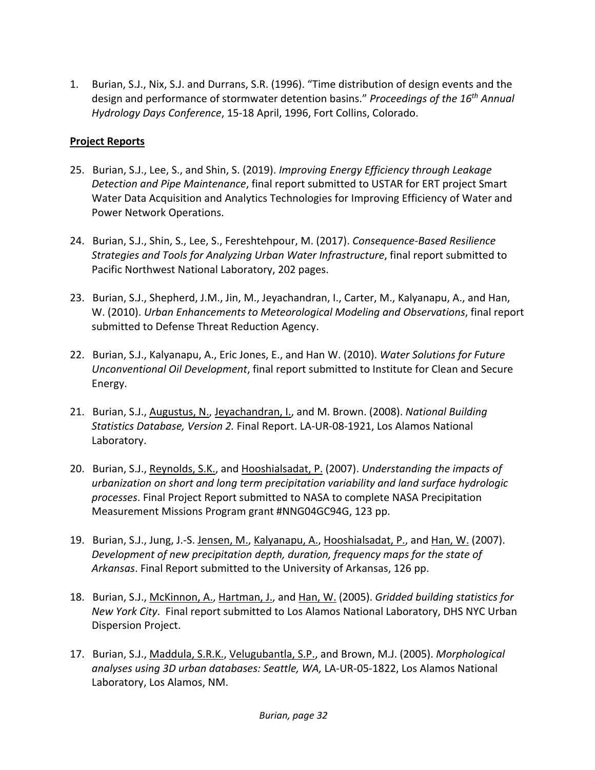1. Burian, S.J., Nix, S.J. and Durrans, S.R. (1996). "Time distribution of design events and the design and performance of stormwater detention basins." *Proceedings of the 16th Annual Hydrology Days Conference*, 15‐18 April, 1996, Fort Collins, Colorado.

#### **Project Reports**

- 25. Burian, S.J., Lee, S., and Shin, S. (2019). *Improving Energy Efficiency through Leakage Detection and Pipe Maintenance*, final report submitted to USTAR for ERT project Smart Water Data Acquisition and Analytics Technologies for Improving Efficiency of Water and Power Network Operations.
- 24. Burian, S.J., Shin, S., Lee, S., Fereshtehpour, M. (2017). *Consequence‐Based Resilience Strategies and Tools for Analyzing Urban Water Infrastructure*, final report submitted to Pacific Northwest National Laboratory, 202 pages.
- 23. Burian, S.J., Shepherd, J.M., Jin, M., Jeyachandran, I., Carter, M., Kalyanapu, A., and Han, W. (2010). *Urban Enhancements to Meteorological Modeling and Observations*, final report submitted to Defense Threat Reduction Agency.
- 22. Burian, S.J., Kalyanapu, A., Eric Jones, E., and Han W. (2010). *Water Solutions for Future Unconventional Oil Development*, final report submitted to Institute for Clean and Secure Energy.
- 21. Burian, S.J., Augustus, N., Jeyachandran, I., and M. Brown. (2008). *National Building Statistics Database, Version 2.* Final Report. LA‐UR‐08‐1921, Los Alamos National Laboratory.
- 20. Burian, S.J., Reynolds, S.K., and Hooshialsadat, P. (2007). *Understanding the impacts of urbanization on short and long term precipitation variability and land surface hydrologic processes*. Final Project Report submitted to NASA to complete NASA Precipitation Measurement Missions Program grant #NNG04GC94G, 123 pp.
- 19. Burian, S.J., Jung, J.-S. Jensen, M., Kalyanapu, A., Hooshialsadat, P., and Han, W. (2007). *Development of new precipitation depth, duration, frequency maps for the state of Arkansas*. Final Report submitted to the University of Arkansas, 126 pp.
- 18. Burian, S.J., McKinnon, A., Hartman, J., and Han, W. (2005). *Gridded building statistics for New York City*. Final report submitted to Los Alamos National Laboratory, DHS NYC Urban Dispersion Project.
- 17. Burian, S.J., Maddula, S.R.K., Velugubantla, S.P., and Brown, M.J. (2005). *Morphological analyses using 3D urban databases: Seattle, WA,* LA‐UR‐05‐1822, Los Alamos National Laboratory, Los Alamos, NM.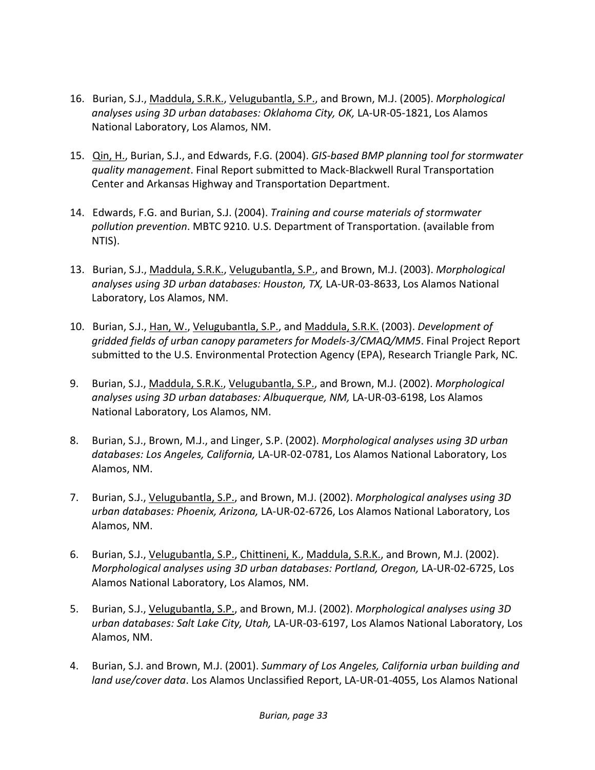- 16. Burian, S.J., Maddula, S.R.K., Velugubantla, S.P., and Brown, M.J. (2005). *Morphological analyses using 3D urban databases: Oklahoma City, OK,* LA‐UR‐05‐1821, Los Alamos National Laboratory, Los Alamos, NM.
- 15. Qin, H., Burian, S.J., and Edwards, F.G. (2004). *GIS‐based BMP planning tool for stormwater quality management*. Final Report submitted to Mack‐Blackwell Rural Transportation Center and Arkansas Highway and Transportation Department.
- 14. Edwards, F.G. and Burian, S.J. (2004). *Training and course materials of stormwater pollution prevention*. MBTC 9210. U.S. Department of Transportation. (available from NTIS).
- 13. Burian, S.J., Maddula, S.R.K., Velugubantla, S.P., and Brown, M.J. (2003). *Morphological analyses using 3D urban databases: Houston, TX,* LA‐UR‐03‐8633, Los Alamos National Laboratory, Los Alamos, NM.
- 10. Burian, S.J., Han, W., Velugubantla, S.P., and Maddula, S.R.K. (2003). *Development of gridded fields of urban canopy parameters for Models‐3/CMAQ/MM5*. Final Project Report submitted to the U.S. Environmental Protection Agency (EPA), Research Triangle Park, NC.
- 9. Burian, S.J., Maddula, S.R.K., Velugubantla, S.P., and Brown, M.J. (2002). *Morphological analyses using 3D urban databases: Albuquerque, NM,* LA‐UR‐03‐6198, Los Alamos National Laboratory, Los Alamos, NM.
- 8. Burian, S.J., Brown, M.J., and Linger, S.P. (2002). *Morphological analyses using 3D urban databases: Los Angeles, California,* LA‐UR‐02‐0781, Los Alamos National Laboratory, Los Alamos, NM.
- 7. Burian, S.J., Velugubantla, S.P., and Brown, M.J. (2002). *Morphological analyses using 3D urban databases: Phoenix, Arizona,* LA‐UR‐02‐6726, Los Alamos National Laboratory, Los Alamos, NM.
- 6. Burian, S.J., Velugubantla, S.P., Chittineni, K., Maddula, S.R.K., and Brown, M.J. (2002). *Morphological analyses using 3D urban databases: Portland, Oregon,* LA‐UR‐02‐6725, Los Alamos National Laboratory, Los Alamos, NM.
- 5. Burian, S.J., Velugubantla, S.P., and Brown, M.J. (2002). *Morphological analyses using 3D urban databases: Salt Lake City, Utah,* LA‐UR‐03‐6197, Los Alamos National Laboratory, Los Alamos, NM.
- 4. Burian, S.J. and Brown, M.J. (2001). *Summary of Los Angeles, California urban building and land use/cover data*. Los Alamos Unclassified Report, LA‐UR‐01‐4055, Los Alamos National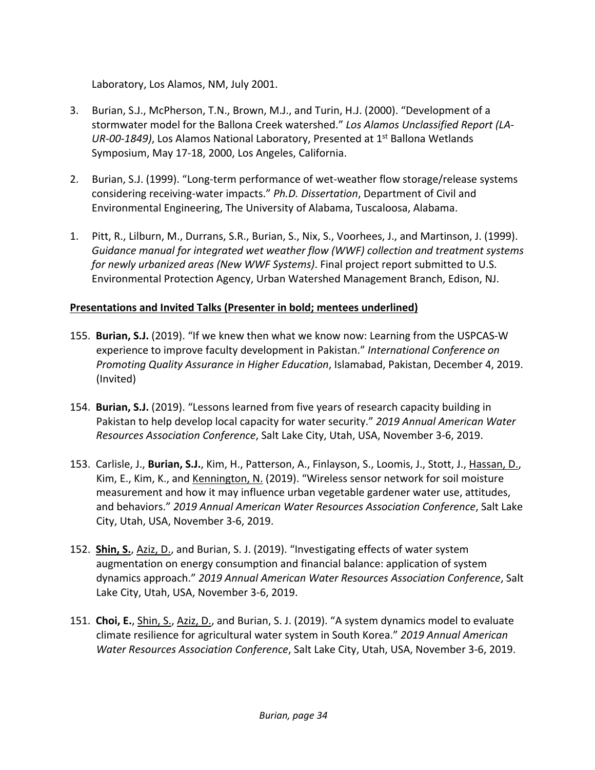Laboratory, Los Alamos, NM, July 2001.

- 3. Burian, S.J., McPherson, T.N., Brown, M.J., and Turin, H.J. (2000). "Development of a stormwater model for the Ballona Creek watershed." *Los Alamos Unclassified Report (LA‐ UR‐00‐1849)*, Los Alamos National Laboratory, Presented at 1st Ballona Wetlands Symposium, May 17‐18, 2000, Los Angeles, California.
- 2. Burian, S.J. (1999). "Long-term performance of wet-weather flow storage/release systems considering receiving‐water impacts." *Ph.D. Dissertation*, Department of Civil and Environmental Engineering, The University of Alabama, Tuscaloosa, Alabama.
- 1. Pitt, R., Lilburn, M., Durrans, S.R., Burian, S., Nix, S., Voorhees, J., and Martinson, J. (1999). *Guidance manual for integrated wet weather flow (WWF) collection and treatment systems for newly urbanized areas (New WWF Systems)*. Final project report submitted to U.S. Environmental Protection Agency, Urban Watershed Management Branch, Edison, NJ.

### **Presentations and Invited Talks (Presenter in bold; mentees underlined)**

- 155. **Burian, S.J.** (2019). "If we knew then what we know now: Learning from the USPCAS‐W experience to improve faculty development in Pakistan." *International Conference on Promoting Quality Assurance in Higher Education*, Islamabad, Pakistan, December 4, 2019. (Invited)
- 154. **Burian, S.J.** (2019). "Lessons learned from five years of research capacity building in Pakistan to help develop local capacity for water security." *2019 Annual American Water Resources Association Conference*, Salt Lake City, Utah, USA, November 3‐6, 2019.
- 153. Carlisle, J., **Burian, S.J.**, Kim, H., Patterson, A., Finlayson, S., Loomis, J., Stott, J., Hassan, D., Kim, E., Kim, K., and Kennington, N. (2019). "Wireless sensor network for soil moisture measurement and how it may influence urban vegetable gardener water use, attitudes, and behaviors." *2019 Annual American Water Resources Association Conference*, Salt Lake City, Utah, USA, November 3‐6, 2019.
- 152. **Shin, S.**, Aziz, D., and Burian, S. J. (2019). "Investigating effects of water system augmentation on energy consumption and financial balance: application of system dynamics approach." *2019 Annual American Water Resources Association Conference*, Salt Lake City, Utah, USA, November 3‐6, 2019.
- 151. **Choi, E.**, Shin, S., Aziz, D., and Burian, S. J. (2019). "A system dynamics model to evaluate climate resilience for agricultural water system in South Korea." *2019 Annual American Water Resources Association Conference*, Salt Lake City, Utah, USA, November 3‐6, 2019.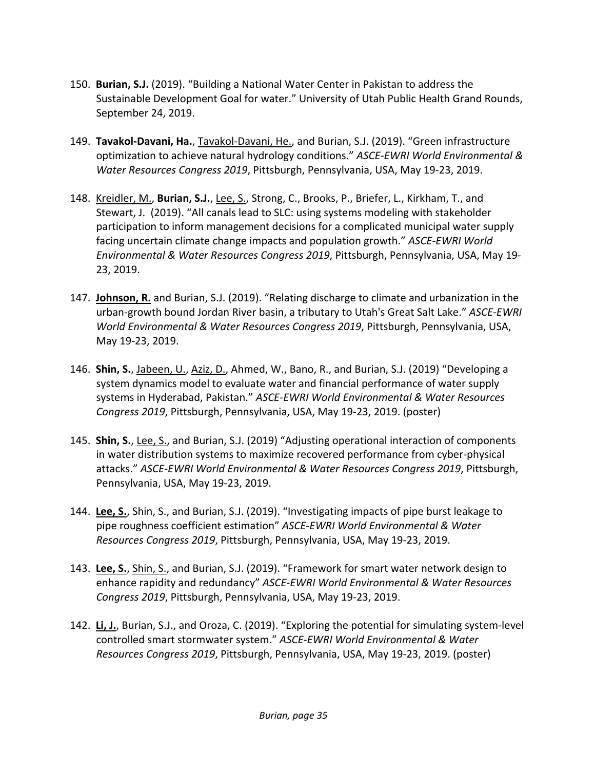- 150. **Burian, S.J.** (2019). "Building a National Water Center in Pakistan to address the Sustainable Development Goal for water." University of Utah Public Health Grand Rounds, September 24, 2019.
- 149. **Tavakol‐Davani, Ha.**, Tavakol‐Davani, He., and Burian, S.J. (2019). "Green infrastructure optimization to achieve natural hydrology conditions." *ASCE‐EWRI World Environmental & Water Resources Congress 2019*, Pittsburgh, Pennsylvania, USA, May 19‐23, 2019.
- 148. Kreidler, M., **Burian, S.J.**, Lee, S., Strong, C., Brooks, P., Briefer, L., Kirkham, T., and Stewart, J. (2019). "All canals lead to SLC: using systems modeling with stakeholder participation to inform management decisions for a complicated municipal water supply facing uncertain climate change impacts and population growth." *ASCE‐EWRI World Environmental & Water Resources Congress 2019*, Pittsburgh, Pennsylvania, USA, May 19‐ 23, 2019.
- 147. **Johnson, R.** and Burian, S.J. (2019). "Relating discharge to climate and urbanization in the urban‐growth bound Jordan River basin, a tributary to Utah's Great Salt Lake." *ASCE‐EWRI World Environmental & Water Resources Congress 2019*, Pittsburgh, Pennsylvania, USA, May 19‐23, 2019.
- 146. **Shin, S.**, Jabeen, U., Aziz, D., Ahmed, W., Bano, R., and Burian, S.J. (2019) "Developing a system dynamics model to evaluate water and financial performance of water supply systems in Hyderabad, Pakistan." *ASCE‐EWRI World Environmental & Water Resources Congress 2019*, Pittsburgh, Pennsylvania, USA, May 19‐23, 2019. (poster)
- 145. **Shin, S.**, Lee, S., and Burian, S.J. (2019) "Adjusting operational interaction of components in water distribution systems to maximize recovered performance from cyber‐physical attacks." *ASCE‐EWRI World Environmental & Water Resources Congress 2019*, Pittsburgh, Pennsylvania, USA, May 19‐23, 2019.
- 144. **Lee, S.**, Shin, S., and Burian, S.J. (2019). "Investigating impacts of pipe burst leakage to pipe roughness coefficient estimation" *ASCE‐EWRI World Environmental & Water Resources Congress 2019*, Pittsburgh, Pennsylvania, USA, May 19‐23, 2019.
- 143. **Lee, S.**, Shin, S., and Burian, S.J. (2019). "Framework for smart water network design to enhance rapidity and redundancy" *ASCE‐EWRI World Environmental & Water Resources Congress 2019*, Pittsburgh, Pennsylvania, USA, May 19‐23, 2019.
- 142. **Li, J.**, Burian, S.J., and Oroza, C. (2019). "Exploring the potential for simulating system‐level controlled smart stormwater system." *ASCE‐EWRI World Environmental & Water Resources Congress 2019*, Pittsburgh, Pennsylvania, USA, May 19‐23, 2019. (poster)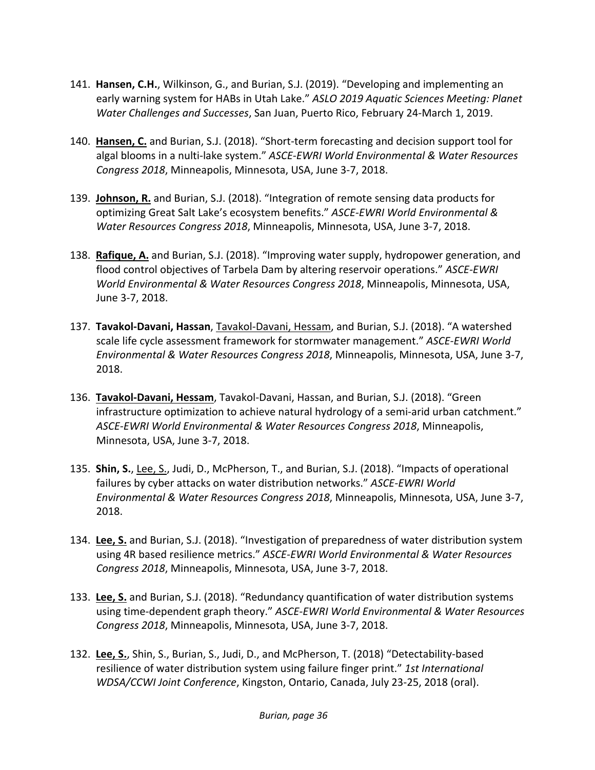- 141. **Hansen, C.H.**, Wilkinson, G., and Burian, S.J. (2019). "Developing and implementing an early warning system for HABs in Utah Lake." *ASLO 2019 Aquatic Sciences Meeting: Planet Water Challenges and Successes*, San Juan, Puerto Rico, February 24‐March 1, 2019.
- 140. **Hansen, C.** and Burian, S.J. (2018). "Short‐term forecasting and decision support tool for algal blooms in a nulti‐lake system." *ASCE‐EWRI World Environmental & Water Resources Congress 2018*, Minneapolis, Minnesota, USA, June 3‐7, 2018.
- 139. **Johnson, R.** and Burian, S.J. (2018). "Integration of remote sensing data products for optimizing Great Salt Lake's ecosystem benefits." *ASCE‐EWRI World Environmental & Water Resources Congress 2018*, Minneapolis, Minnesota, USA, June 3‐7, 2018.
- 138. **Rafique, A.** and Burian, S.J. (2018). "Improving water supply, hydropower generation, and flood control objectives of Tarbela Dam by altering reservoir operations." *ASCE‐EWRI World Environmental & Water Resources Congress 2018*, Minneapolis, Minnesota, USA, June 3‐7, 2018.
- 137. **Tavakol‐Davani, Hassan**, Tavakol‐Davani, Hessam, and Burian, S.J. (2018). "A watershed scale life cycle assessment framework for stormwater management." *ASCE‐EWRI World Environmental & Water Resources Congress 2018*, Minneapolis, Minnesota, USA, June 3‐7, 2018.
- 136. **Tavakol‐Davani, Hessam**, Tavakol‐Davani, Hassan, and Burian, S.J. (2018). "Green infrastructure optimization to achieve natural hydrology of a semi-arid urban catchment." *ASCE‐EWRI World Environmental & Water Resources Congress 2018*, Minneapolis, Minnesota, USA, June 3‐7, 2018.
- 135. **Shin, S.**, Lee, S., Judi, D., McPherson, T., and Burian, S.J. (2018). "Impacts of operational failures by cyber attacks on water distribution networks." *ASCE‐EWRI World Environmental & Water Resources Congress 2018*, Minneapolis, Minnesota, USA, June 3‐7, 2018.
- 134. **Lee, S.** and Burian, S.J. (2018). "Investigation of preparedness of water distribution system using 4R based resilience metrics." *ASCE‐EWRI World Environmental & Water Resources Congress 2018*, Minneapolis, Minnesota, USA, June 3‐7, 2018.
- 133. **Lee, S.** and Burian, S.J. (2018). "Redundancy quantification of water distribution systems using time‐dependent graph theory." *ASCE‐EWRI World Environmental & Water Resources Congress 2018*, Minneapolis, Minnesota, USA, June 3‐7, 2018.
- 132. **Lee, S.**, Shin, S., Burian, S., Judi, D., and McPherson, T. (2018) "Detectability‐based resilience of water distribution system using failure finger print." *1st International WDSA/CCWI Joint Conference*, Kingston, Ontario, Canada, July 23‐25, 2018 (oral).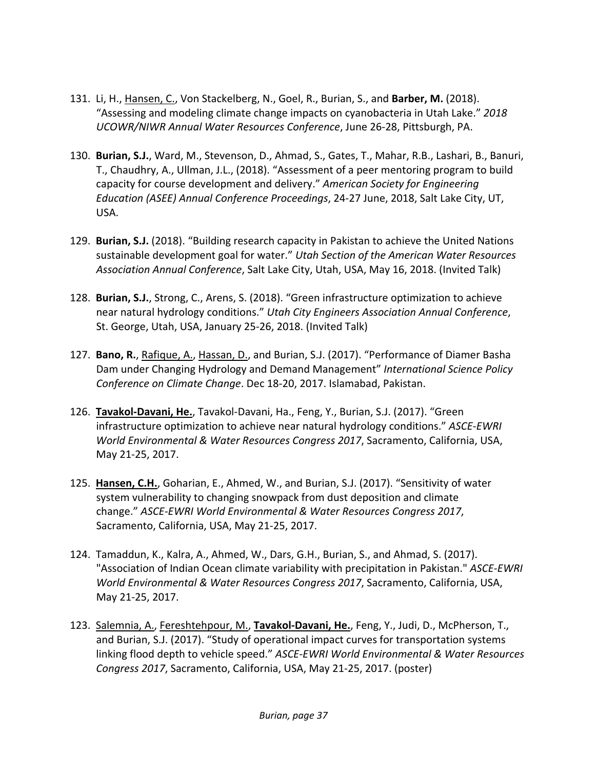- 131. Li, H., Hansen, C., Von Stackelberg, N., Goel, R., Burian, S., and **Barber, M.** (2018). "Assessing and modeling climate change impacts on cyanobacteria in Utah Lake." *2018 UCOWR/NIWR Annual Water Resources Conference*, June 26‐28, Pittsburgh, PA.
- 130. **Burian, S.J.**, Ward, M., Stevenson, D., Ahmad, S., Gates, T., Mahar, R.B., Lashari, B., Banuri, T., Chaudhry, A., Ullman, J.L., (2018). "Assessment of a peer mentoring program to build capacity for course development and delivery." *American Society for Engineering Education (ASEE) Annual Conference Proceedings*, 24‐27 June, 2018, Salt Lake City, UT, USA.
- 129. **Burian, S.J.** (2018). "Building research capacity in Pakistan to achieve the United Nations sustainable development goal for water." *Utah Section of the American Water Resources Association Annual Conference*, Salt Lake City, Utah, USA, May 16, 2018. (Invited Talk)
- 128. **Burian, S.J.**, Strong, C., Arens, S. (2018). "Green infrastructure optimization to achieve near natural hydrology conditions." *Utah City Engineers Association Annual Conference*, St. George, Utah, USA, January 25‐26, 2018. (Invited Talk)
- 127. **Bano, R.**, Rafique, A., Hassan, D., and Burian, S.J. (2017). "Performance of Diamer Basha Dam under Changing Hydrology and Demand Management" *International Science Policy Conference on Climate Change*. Dec 18‐20, 2017. Islamabad, Pakistan.
- 126. **Tavakol‐Davani, He.**, Tavakol‐Davani, Ha., Feng, Y., Burian, S.J. (2017). "Green infrastructure optimization to achieve near natural hydrology conditions." *ASCE‐EWRI World Environmental & Water Resources Congress 2017*, Sacramento, California, USA, May 21‐25, 2017.
- 125. **Hansen, C.H.**, Goharian, E., Ahmed, W., and Burian, S.J. (2017). "Sensitivity of water system vulnerability to changing snowpack from dust deposition and climate change." *ASCE‐EWRI World Environmental & Water Resources Congress 2017*, Sacramento, California, USA, May 21‐25, 2017.
- 124. Tamaddun, K., Kalra, A., Ahmed, W., Dars, G.H., Burian, S., and Ahmad, S. (2017). "Association of Indian Ocean climate variability with precipitation in Pakistan." *ASCE‐EWRI World Environmental & Water Resources Congress 2017*, Sacramento, California, USA, May 21‐25, 2017.
- 123. Salemnia, A., Fereshtehpour, M., **Tavakol‐Davani, He.**, Feng, Y., Judi, D., McPherson, T., and Burian, S.J. (2017). "Study of operational impact curves for transportation systems linking flood depth to vehicle speed." *ASCE‐EWRI World Environmental & Water Resources Congress 2017*, Sacramento, California, USA, May 21‐25, 2017. (poster)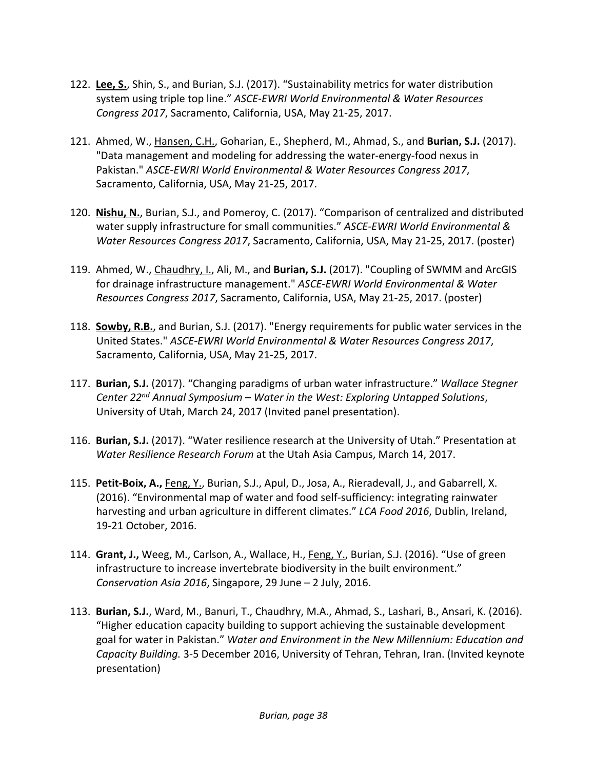- 122. **Lee, S.**, Shin, S., and Burian, S.J. (2017). "Sustainability metrics for water distribution system using triple top line." *ASCE‐EWRI World Environmental & Water Resources Congress 2017*, Sacramento, California, USA, May 21‐25, 2017.
- 121. Ahmed, W., Hansen, C.H., Goharian, E., Shepherd, M., Ahmad, S., and **Burian, S.J.** (2017). "Data management and modeling for addressing the water‐energy‐food nexus in Pakistan." *ASCE‐EWRI World Environmental & Water Resources Congress 2017*, Sacramento, California, USA, May 21‐25, 2017.
- 120. **Nishu, N.**, Burian, S.J., and Pomeroy, C. (2017). "Comparison of centralized and distributed water supply infrastructure for small communities." *ASCE‐EWRI World Environmental & Water Resources Congress 2017*, Sacramento, California, USA, May 21‐25, 2017. (poster)
- 119. Ahmed, W., Chaudhry, I., Ali, M., and **Burian, S.J.** (2017). "Coupling of SWMM and ArcGIS for drainage infrastructure management." *ASCE‐EWRI World Environmental & Water Resources Congress 2017*, Sacramento, California, USA, May 21‐25, 2017. (poster)
- 118. **Sowby, R.B.**, and Burian, S.J. (2017). "Energy requirements for public water services in the United States." *ASCE‐EWRI World Environmental & Water Resources Congress 2017*, Sacramento, California, USA, May 21‐25, 2017.
- 117. **Burian, S.J.** (2017). "Changing paradigms of urban water infrastructure." *Wallace Stegner Center 22nd Annual Symposium – Water in the West: Exploring Untapped Solutions*, University of Utah, March 24, 2017 (Invited panel presentation).
- 116. **Burian, S.J.** (2017). "Water resilience research at the University of Utah." Presentation at *Water Resilience Research Forum* at the Utah Asia Campus, March 14, 2017.
- 115. **Petit‐Boix, A.,** Feng, Y., Burian, S.J., Apul, D., Josa, A., Rieradevall, J., and Gabarrell, X. (2016). "Environmental map of water and food self‐sufficiency: integrating rainwater harvesting and urban agriculture in different climates." *LCA Food 2016*, Dublin, Ireland, 19‐21 October, 2016.
- 114. **Grant, J.,** Weeg, M., Carlson, A., Wallace, H., Feng, Y., Burian, S.J. (2016). "Use of green infrastructure to increase invertebrate biodiversity in the built environment." *Conservation Asia 2016*, Singapore, 29 June – 2 July, 2016.
- 113. **Burian, S.J.**, Ward, M., Banuri, T., Chaudhry, M.A., Ahmad, S., Lashari, B., Ansari, K. (2016). "Higher education capacity building to support achieving the sustainable development goal for water in Pakistan." *Water and Environment in the New Millennium: Education and Capacity Building.* 3‐5 December 2016, University of Tehran, Tehran, Iran. (Invited keynote presentation)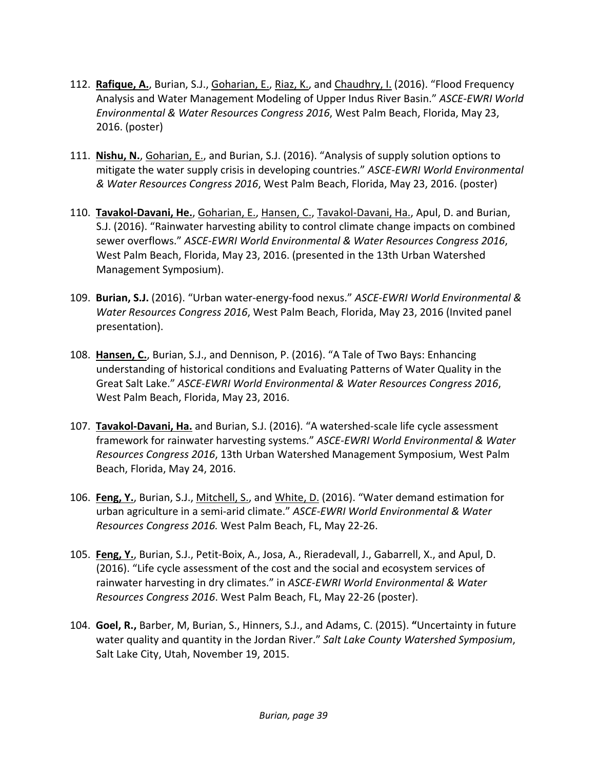- 112. **Rafique, A.**, Burian, S.J., Goharian, E., Riaz, K., and Chaudhry, I. (2016). "Flood Frequency Analysis and Water Management Modeling of Upper Indus River Basin." *ASCE‐EWRI World Environmental & Water Resources Congress 2016*, West Palm Beach, Florida, May 23, 2016. (poster)
- 111. **Nishu, N.**, Goharian, E., and Burian, S.J. (2016). "Analysis of supply solution options to mitigate the water supply crisis in developing countries." *ASCE‐EWRI World Environmental & Water Resources Congress 2016*, West Palm Beach, Florida, May 23, 2016. (poster)
- 110. **Tavakol‐Davani, He.**, Goharian, E., Hansen, C., Tavakol‐Davani, Ha., Apul, D. and Burian, S.J. (2016). "Rainwater harvesting ability to control climate change impacts on combined sewer overflows." *ASCE‐EWRI World Environmental & Water Resources Congress 2016*, West Palm Beach, Florida, May 23, 2016. (presented in the 13th Urban Watershed Management Symposium).
- 109. **Burian, S.J.** (2016). "Urban water‐energy‐food nexus." *ASCE‐EWRI World Environmental & Water Resources Congress 2016*, West Palm Beach, Florida, May 23, 2016 (Invited panel presentation).
- 108. **Hansen, C.**, Burian, S.J., and Dennison, P. (2016). "A Tale of Two Bays: Enhancing understanding of historical conditions and Evaluating Patterns of Water Quality in the Great Salt Lake." *ASCE‐EWRI World Environmental & Water Resources Congress 2016*, West Palm Beach, Florida, May 23, 2016.
- 107. **Tavakol‐Davani, Ha.** and Burian, S.J. (2016). "A watershed‐scale life cycle assessment framework for rainwater harvesting systems." *ASCE‐EWRI World Environmental & Water Resources Congress 2016*, 13th Urban Watershed Management Symposium, West Palm Beach, Florida, May 24, 2016.
- 106. **Feng, Y.**, Burian, S.J., Mitchell, S., and White, D. (2016). "Water demand estimation for urban agriculture in a semi‐arid climate." *ASCE‐EWRI World Environmental & Water Resources Congress 2016.* West Palm Beach, FL, May 22‐26.
- 105. **Feng, Y.**, Burian, S.J., Petit‐Boix, A., Josa, A., Rieradevall, J., Gabarrell, X., and Apul, D. (2016). "Life cycle assessment of the cost and the social and ecosystem services of rainwater harvesting in dry climates." in *ASCE‐EWRI World Environmental & Water Resources Congress 2016*. West Palm Beach, FL, May 22‐26 (poster).
- 104. **Goel, R.,** Barber, M, Burian, S., Hinners, S.J., and Adams, C. (2015). **"**Uncertainty in future water quality and quantity in the Jordan River." *Salt Lake County Watershed Symposium*, Salt Lake City, Utah, November 19, 2015.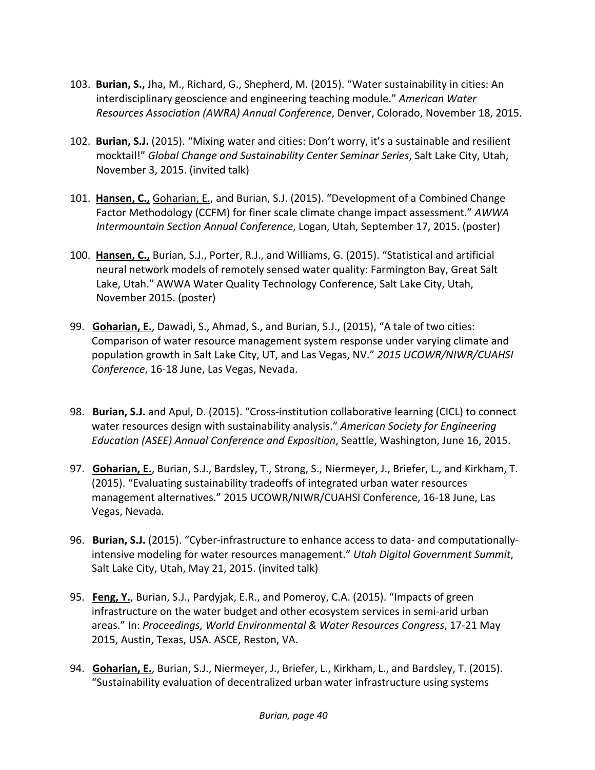- 103. **Burian, S.,** Jha, M., Richard, G., Shepherd, M. (2015). "Water sustainability in cities: An interdisciplinary geoscience and engineering teaching module." *American Water Resources Association (AWRA) Annual Conference*, Denver, Colorado, November 18, 2015.
- 102. **Burian, S.J.** (2015). "Mixing water and cities: Don't worry, it's a sustainable and resilient mocktail!" *Global Change and Sustainability Center Seminar Series*, Salt Lake City, Utah, November 3, 2015. (invited talk)
- 101. **Hansen, C.,** Goharian, E., and Burian, S.J. (2015). "Development of a Combined Change Factor Methodology (CCFM) for finer scale climate change impact assessment." *AWWA Intermountain Section Annual Conference*, Logan, Utah, September 17, 2015. (poster)
- 100. **Hansen, C.,** Burian, S.J., Porter, R.J., and Williams, G. (2015). "Statistical and artificial neural network models of remotely sensed water quality: Farmington Bay, Great Salt Lake, Utah." AWWA Water Quality Technology Conference, Salt Lake City, Utah, November 2015. (poster)
- 99. **Goharian, E.**, Dawadi, S., Ahmad, S., and Burian, S.J., (2015), "A tale of two cities: Comparison of water resource management system response under varying climate and population growth in Salt Lake City, UT, and Las Vegas, NV." *2015 UCOWR/NIWR/CUAHSI Conference*, 16‐18 June, Las Vegas, Nevada.
- 98. **Burian, S.J.** and Apul, D. (2015). "Cross‐institution collaborative learning (CICL) to connect water resources design with sustainability analysis." *American Society for Engineering Education (ASEE) Annual Conference and Exposition*, Seattle, Washington, June 16, 2015.
- 97. **Goharian, E.**, Burian, S.J., Bardsley, T., Strong, S., Niermeyer, J., Briefer, L., and Kirkham, T. (2015). "Evaluating sustainability tradeoffs of integrated urban water resources management alternatives." 2015 UCOWR/NIWR/CUAHSI Conference, 16‐18 June, Las Vegas, Nevada.
- 96. **Burian, S.J.** (2015). "Cyber-infrastructure to enhance access to data- and computationallyintensive modeling for water resources management." *Utah Digital Government Summit*, Salt Lake City, Utah, May 21, 2015. (invited talk)
- 95. **Feng, Y.**, Burian, S.J., Pardyjak, E.R., and Pomeroy, C.A. (2015). "Impacts of green infrastructure on the water budget and other ecosystem services in semi‐arid urban areas." In: *Proceedings, World Environmental & Water Resources Congress*, 17‐21 May 2015, Austin, Texas, USA. ASCE, Reston, VA.
- 94. **Goharian, E.**, Burian, S.J., Niermeyer, J., Briefer, L., Kirkham, L., and Bardsley, T. (2015). "Sustainability evaluation of decentralized urban water infrastructure using systems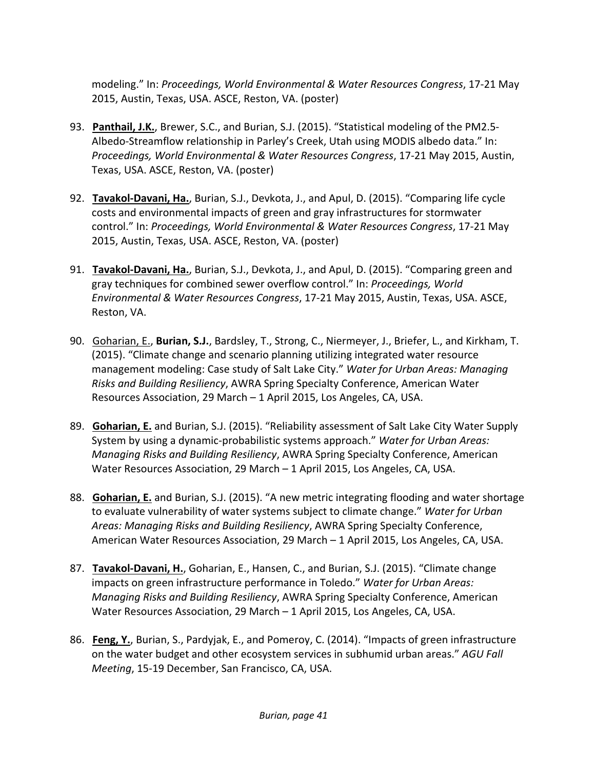modeling." In: *Proceedings, World Environmental & Water Resources Congress*, 17‐21 May 2015, Austin, Texas, USA. ASCE, Reston, VA. (poster)

- 93. **Panthail, J.K.**, Brewer, S.C., and Burian, S.J. (2015). "Statistical modeling of the PM2.5‐ Albedo‐Streamflow relationship in Parley's Creek, Utah using MODIS albedo data." In: *Proceedings, World Environmental & Water Resources Congress*, 17‐21 May 2015, Austin, Texas, USA. ASCE, Reston, VA. (poster)
- 92. **Tavakol‐Davani, Ha.**, Burian, S.J., Devkota, J., and Apul, D. (2015). "Comparing life cycle costs and environmental impacts of green and gray infrastructures for stormwater control." In: *Proceedings, World Environmental & Water Resources Congress*, 17‐21 May 2015, Austin, Texas, USA. ASCE, Reston, VA. (poster)
- 91. **Tavakol‐Davani, Ha.**, Burian, S.J., Devkota, J., and Apul, D. (2015). "Comparing green and gray techniques for combined sewer overflow control." In: *Proceedings, World Environmental & Water Resources Congress*, 17‐21 May 2015, Austin, Texas, USA. ASCE, Reston, VA.
- 90. Goharian, E., **Burian, S.J.**, Bardsley, T., Strong, C., Niermeyer, J., Briefer, L., and Kirkham, T. (2015). "Climate change and scenario planning utilizing integrated water resource management modeling: Case study of Salt Lake City." *Water for Urban Areas: Managing Risks and Building Resiliency*, AWRA Spring Specialty Conference, American Water Resources Association, 29 March – 1 April 2015, Los Angeles, CA, USA.
- 89. **Goharian, E.** and Burian, S.J. (2015). "Reliability assessment of Salt Lake City Water Supply System by using a dynamic‐probabilistic systems approach." *Water for Urban Areas: Managing Risks and Building Resiliency*, AWRA Spring Specialty Conference, American Water Resources Association, 29 March – 1 April 2015, Los Angeles, CA, USA.
- 88. **Goharian, E.** and Burian, S.J. (2015). "A new metric integrating flooding and water shortage to evaluate vulnerability of water systems subject to climate change." *Water for Urban Areas: Managing Risks and Building Resiliency*, AWRA Spring Specialty Conference, American Water Resources Association, 29 March – 1 April 2015, Los Angeles, CA, USA.
- 87. **Tavakol‐Davani, H.**, Goharian, E., Hansen, C., and Burian, S.J. (2015). "Climate change impacts on green infrastructure performance in Toledo." *Water for Urban Areas: Managing Risks and Building Resiliency*, AWRA Spring Specialty Conference, American Water Resources Association, 29 March – 1 April 2015, Los Angeles, CA, USA.
- 86. **Feng, Y.**, Burian, S., Pardyjak, E., and Pomeroy, C. (2014). "Impacts of green infrastructure on the water budget and other ecosystem services in subhumid urban areas." *AGU Fall Meeting*, 15‐19 December, San Francisco, CA, USA.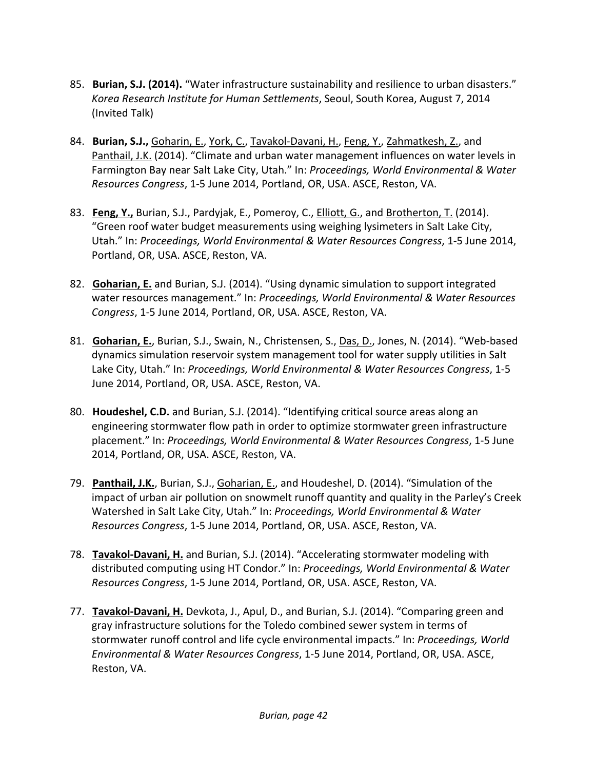- 85. **Burian, S.J. (2014).** "Water infrastructure sustainability and resilience to urban disasters." *Korea Research Institute for Human Settlements*, Seoul, South Korea, August 7, 2014 (Invited Talk)
- 84. **Burian, S.J.,** Goharin, E., York, C., Tavakol‐Davani, H., Feng, Y., Zahmatkesh, Z., and Panthail, J.K. (2014). "Climate and urban water management influences on water levels in Farmington Bay near Salt Lake City, Utah." In: *Proceedings, World Environmental & Water Resources Congress*, 1‐5 June 2014, Portland, OR, USA. ASCE, Reston, VA.
- 83. **Feng, Y.,** Burian, S.J., Pardyjak, E., Pomeroy, C., Elliott, G., and Brotherton, T. (2014). "Green roof water budget measurements using weighing lysimeters in Salt Lake City, Utah." In: *Proceedings, World Environmental & Water Resources Congress*, 1‐5 June 2014, Portland, OR, USA. ASCE, Reston, VA.
- 82. **Goharian, E.** and Burian, S.J. (2014). "Using dynamic simulation to support integrated water resources management." In: *Proceedings, World Environmental & Water Resources Congress*, 1‐5 June 2014, Portland, OR, USA. ASCE, Reston, VA.
- 81. **Goharian, E.**, Burian, S.J., Swain, N., Christensen, S., Das, D., Jones, N. (2014). "Web‐based dynamics simulation reservoir system management tool for water supply utilities in Salt Lake City, Utah." In: *Proceedings, World Environmental & Water Resources Congress*, 1‐5 June 2014, Portland, OR, USA. ASCE, Reston, VA.
- 80. **Houdeshel, C.D.** and Burian, S.J. (2014). "Identifying critical source areas along an engineering stormwater flow path in order to optimize stormwater green infrastructure placement." In: *Proceedings, World Environmental & Water Resources Congress*, 1‐5 June 2014, Portland, OR, USA. ASCE, Reston, VA.
- 79. **Panthail, J.K.**, Burian, S.J., Goharian, E., and Houdeshel, D. (2014). "Simulation of the impact of urban air pollution on snowmelt runoff quantity and quality in the Parley's Creek Watershed in Salt Lake City, Utah." In: *Proceedings, World Environmental & Water Resources Congress*, 1‐5 June 2014, Portland, OR, USA. ASCE, Reston, VA.
- 78. **Tavakol‐Davani, H.** and Burian, S.J. (2014). "Accelerating stormwater modeling with distributed computing using HT Condor." In: *Proceedings, World Environmental & Water Resources Congress*, 1‐5 June 2014, Portland, OR, USA. ASCE, Reston, VA.
- 77. **Tavakol‐Davani, H.** Devkota, J., Apul, D., and Burian, S.J. (2014). "Comparing green and gray infrastructure solutions for the Toledo combined sewer system in terms of stormwater runoff control and life cycle environmental impacts." In: *Proceedings, World Environmental & Water Resources Congress*, 1‐5 June 2014, Portland, OR, USA. ASCE, Reston, VA.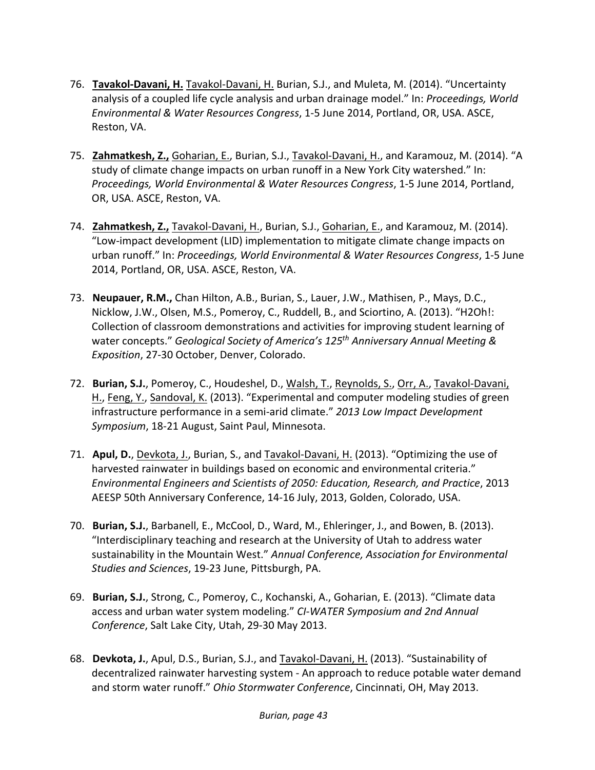- 76. **Tavakol‐Davani, H.** Tavakol‐Davani, H. Burian, S.J., and Muleta, M. (2014). "Uncertainty analysis of a coupled life cycle analysis and urban drainage model." In: *Proceedings, World Environmental & Water Resources Congress*, 1‐5 June 2014, Portland, OR, USA. ASCE, Reston, VA.
- 75. **Zahmatkesh, Z.,** Goharian, E., Burian, S.J., Tavakol‐Davani, H., and Karamouz, M. (2014). "A study of climate change impacts on urban runoff in a New York City watershed." In: *Proceedings, World Environmental & Water Resources Congress*, 1‐5 June 2014, Portland, OR, USA. ASCE, Reston, VA.
- 74. **Zahmatkesh, Z.,** Tavakol‐Davani, H., Burian, S.J., Goharian, E., and Karamouz, M. (2014). "Low‐impact development (LID) implementation to mitigate climate change impacts on urban runoff." In: *Proceedings, World Environmental & Water Resources Congress*, 1‐5 June 2014, Portland, OR, USA. ASCE, Reston, VA.
- 73. **Neupauer, R.M.,** Chan Hilton, A.B., Burian, S., Lauer, J.W., Mathisen, P., Mays, D.C., Nicklow, J.W., Olsen, M.S., Pomeroy, C., Ruddell, B., and Sciortino, A. (2013). "H2Oh!: Collection of classroom demonstrations and activities for improving student learning of water concepts." *Geological Society of America's 125th Anniversary Annual Meeting & Exposition*, 27‐30 October, Denver, Colorado.
- 72. **Burian, S.J.**, Pomeroy, C., Houdeshel, D., Walsh, T., Reynolds, S., Orr, A., Tavakol‐Davani, H., Feng, Y., Sandoval, K. (2013). "Experimental and computer modeling studies of green infrastructure performance in a semi‐arid climate." *2013 Low Impact Development Symposium*, 18‐21 August, Saint Paul, Minnesota.
- 71. **Apul, D.**, Devkota, J., Burian, S., and Tavakol‐Davani, H. (2013). "Optimizing the use of harvested rainwater in buildings based on economic and environmental criteria." *Environmental Engineers and Scientists of 2050: Education, Research, and Practice*, 2013 AEESP 50th Anniversary Conference, 14‐16 July, 2013, Golden, Colorado, USA.
- 70. **Burian, S.J.**, Barbanell, E., McCool, D., Ward, M., Ehleringer, J., and Bowen, B. (2013). "Interdisciplinary teaching and research at the University of Utah to address water sustainability in the Mountain West." *Annual Conference, Association for Environmental Studies and Sciences*, 19‐23 June, Pittsburgh, PA.
- 69. **Burian, S.J.**, Strong, C., Pomeroy, C., Kochanski, A., Goharian, E. (2013). "Climate data access and urban water system modeling." *CI‐WATER Symposium and 2nd Annual Conference*, Salt Lake City, Utah, 29‐30 May 2013.
- 68. **Devkota, J.**, Apul, D.S., Burian, S.J., and Tavakol‐Davani, H. (2013). "Sustainability of decentralized rainwater harvesting system ‐ An approach to reduce potable water demand and storm water runoff." *Ohio Stormwater Conference*, Cincinnati, OH, May 2013.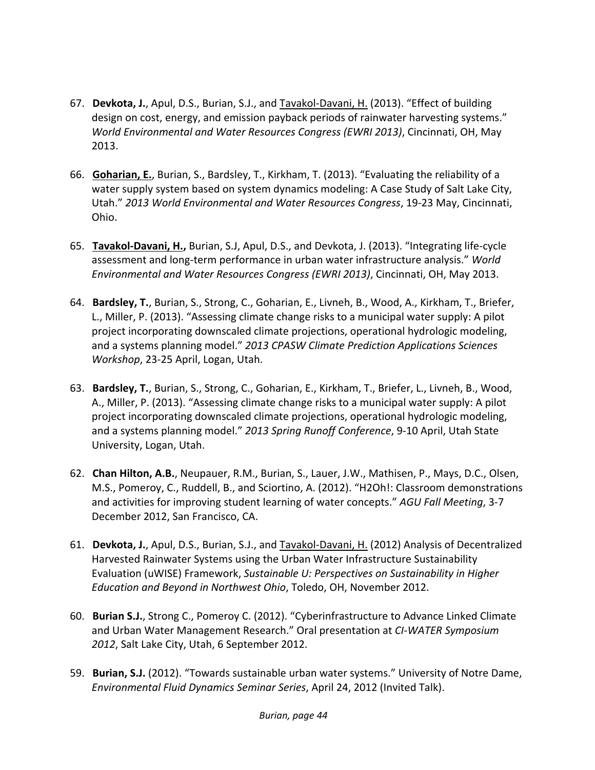- 67. **Devkota, J.**, Apul, D.S., Burian, S.J., and Tavakol‐Davani, H. (2013). "Effect of building design on cost, energy, and emission payback periods of rainwater harvesting systems." *World Environmental and Water Resources Congress (EWRI 2013)*, Cincinnati, OH, May 2013.
- 66. **Goharian, E.**, Burian, S., Bardsley, T., Kirkham, T. (2013). "Evaluating the reliability of a water supply system based on system dynamics modeling: A Case Study of Salt Lake City, Utah." *2013 World Environmental and Water Resources Congress*, 19‐23 May, Cincinnati, Ohio.
- 65. **Tavakol‐Davani, H.,** Burian, S.J, Apul, D.S., and Devkota, J. (2013). "Integrating life‐cycle assessment and long‐term performance in urban water infrastructure analysis." *World Environmental and Water Resources Congress (EWRI 2013)*, Cincinnati, OH, May 2013.
- 64. **Bardsley, T.**, Burian, S., Strong, C., Goharian, E., Livneh, B., Wood, A., Kirkham, T., Briefer, L., Miller, P. (2013). "Assessing climate change risks to a municipal water supply: A pilot project incorporating downscaled climate projections, operational hydrologic modeling, and a systems planning model." *2013 CPASW Climate Prediction Applications Sciences Workshop*, 23‐25 April, Logan, Utah.
- 63. **Bardsley, T.**, Burian, S., Strong, C., Goharian, E., Kirkham, T., Briefer, L., Livneh, B., Wood, A., Miller, P. (2013). "Assessing climate change risks to a municipal water supply: A pilot project incorporating downscaled climate projections, operational hydrologic modeling, and a systems planning model." *2013 Spring Runoff Conference*, 9‐10 April, Utah State University, Logan, Utah.
- 62. **Chan Hilton, A.B.**, Neupauer, R.M., Burian, S., Lauer, J.W., Mathisen, P., Mays, D.C., Olsen, M.S., Pomeroy, C., Ruddell, B., and Sciortino, A. (2012). "H2Oh!: Classroom demonstrations and activities for improving student learning of water concepts." *AGU Fall Meeting*, 3‐7 December 2012, San Francisco, CA.
- 61. **Devkota, J.**, Apul, D.S., Burian, S.J., and Tavakol‐Davani, H. (2012) Analysis of Decentralized Harvested Rainwater Systems using the Urban Water Infrastructure Sustainability Evaluation (uWISE) Framework, *Sustainable U: Perspectives on Sustainability in Higher Education and Beyond in Northwest Ohio*, Toledo, OH, November 2012.
- 60. **Burian S.J.**, Strong C., Pomeroy C. (2012). "Cyberinfrastructure to Advance Linked Climate and Urban Water Management Research." Oral presentation at *CI‐WATER Symposium 2012*, Salt Lake City, Utah, 6 September 2012.
- 59. **Burian, S.J.** (2012). "Towards sustainable urban water systems." University of Notre Dame, *Environmental Fluid Dynamics Seminar Series*, April 24, 2012 (Invited Talk).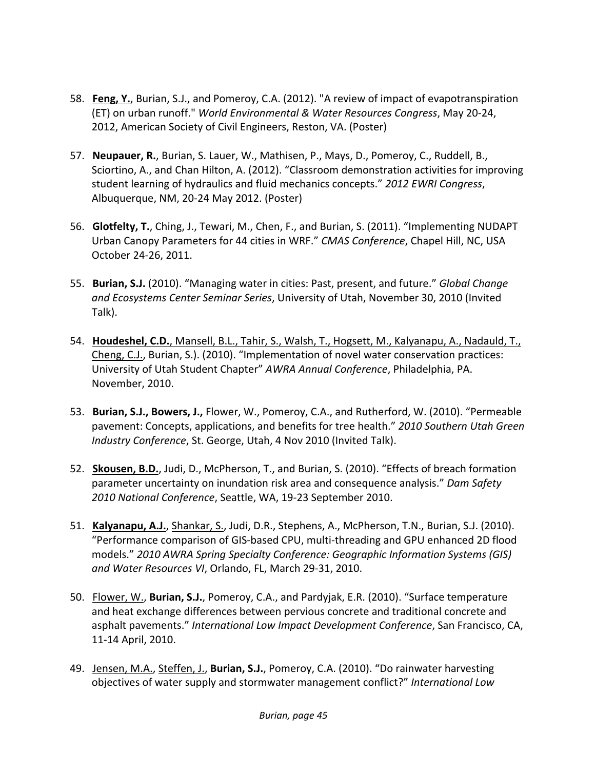- 58. **Feng, Y.**, Burian, S.J., and Pomeroy, C.A. (2012). "A review of impact of evapotranspiration (ET) on urban runoff." *World Environmental & Water Resources Congress*, May 20‐24, 2012, American Society of Civil Engineers, Reston, VA. (Poster)
- 57. **Neupauer, R.**, Burian, S. Lauer, W., Mathisen, P., Mays, D., Pomeroy, C., Ruddell, B., Sciortino, A., and Chan Hilton, A. (2012). "Classroom demonstration activities for improving student learning of hydraulics and fluid mechanics concepts." *2012 EWRI Congress*, Albuquerque, NM, 20‐24 May 2012. (Poster)
- 56. **Glotfelty, T.**, Ching, J., Tewari, M., Chen, F., and Burian, S. (2011). "Implementing NUDAPT Urban Canopy Parameters for 44 cities in WRF." *CMAS Conference*, Chapel Hill, NC, USA October 24‐26, 2011.
- 55. **Burian, S.J.** (2010). "Managing water in cities: Past, present, and future." *Global Change and Ecosystems Center Seminar Series*, University of Utah, November 30, 2010 (Invited Talk).
- 54. **Houdeshel, C.D.**, Mansell, B.L., Tahir, S., Walsh, T., Hogsett, M., Kalyanapu, A., Nadauld, T., Cheng, C.J., Burian, S.). (2010). "Implementation of novel water conservation practices: University of Utah Student Chapter" *AWRA Annual Conference*, Philadelphia, PA. November, 2010.
- 53. **Burian, S.J., Bowers, J.,** Flower, W., Pomeroy, C.A., and Rutherford, W. (2010). "Permeable pavement: Concepts, applications, and benefits for tree health." *2010 Southern Utah Green Industry Conference*, St. George, Utah, 4 Nov 2010 (Invited Talk).
- 52. **Skousen, B.D.**, Judi, D., McPherson, T., and Burian, S. (2010). "Effects of breach formation parameter uncertainty on inundation risk area and consequence analysis." *Dam Safety 2010 National Conference*, Seattle, WA, 19‐23 September 2010.
- 51. **Kalyanapu, A.J.**, Shankar, S., Judi, D.R., Stephens, A., McPherson, T.N., Burian, S.J. (2010). "Performance comparison of GIS‐based CPU, multi‐threading and GPU enhanced 2D flood models." *2010 AWRA Spring Specialty Conference: Geographic Information Systems (GIS) and Water Resources VI*, Orlando, FL, March 29‐31, 2010.
- 50. Flower, W., **Burian, S.J.**, Pomeroy, C.A., and Pardyjak, E.R. (2010). "Surface temperature and heat exchange differences between pervious concrete and traditional concrete and asphalt pavements." *International Low Impact Development Conference*, San Francisco, CA, 11‐14 April, 2010.
- 49. Jensen, M.A., Steffen, J., **Burian, S.J.**, Pomeroy, C.A. (2010). "Do rainwater harvesting objectives of water supply and stormwater management conflict?" *International Low*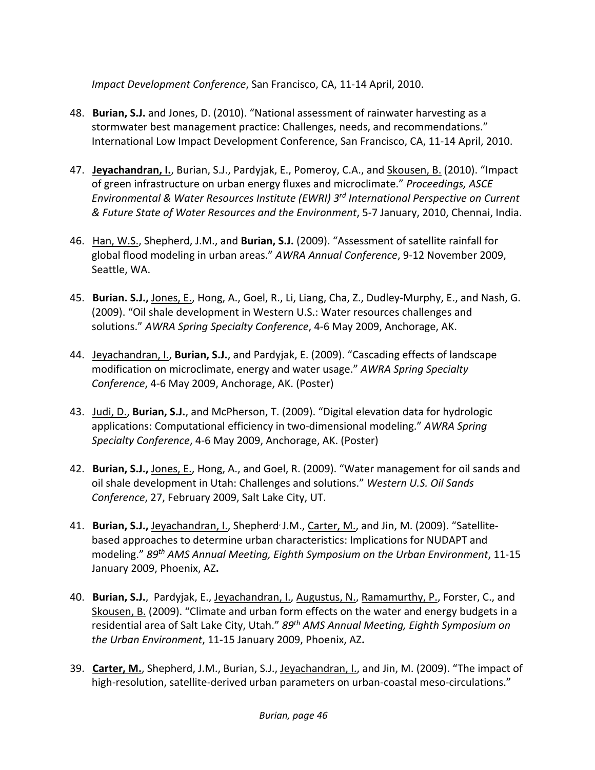*Impact Development Conference*, San Francisco, CA, 11‐14 April, 2010.

- 48. **Burian, S.J.** and Jones, D. (2010). "National assessment of rainwater harvesting as a stormwater best management practice: Challenges, needs, and recommendations." International Low Impact Development Conference, San Francisco, CA, 11‐14 April, 2010.
- 47. **Jeyachandran, I.**, Burian, S.J., Pardyjak, E., Pomeroy, C.A., and Skousen, B. (2010). "Impact of green infrastructure on urban energy fluxes and microclimate." *Proceedings, ASCE Environmental & Water Resources Institute (EWRI) 3rd International Perspective on Current & Future State of Water Resources and the Environment*, 5‐7 January, 2010, Chennai, India.
- 46. Han, W.S., Shepherd, J.M., and **Burian, S.J.** (2009). "Assessment of satellite rainfall for global flood modeling in urban areas." *AWRA Annual Conference*, 9‐12 November 2009, Seattle, WA.
- 45. **Burian. S.J.,** Jones, E., Hong, A., Goel, R., Li, Liang, Cha, Z., Dudley‐Murphy, E., and Nash, G. (2009). "Oil shale development in Western U.S.: Water resources challenges and solutions." *AWRA Spring Specialty Conference*, 4‐6 May 2009, Anchorage, AK.
- 44. Jeyachandran, I., **Burian, S.J.**, and Pardyjak, E. (2009). "Cascading effects of landscape modification on microclimate, energy and water usage." *AWRA Spring Specialty Conference*, 4‐6 May 2009, Anchorage, AK. (Poster)
- 43. Judi, D., **Burian, S.J.**, and McPherson, T. (2009). "Digital elevation data for hydrologic applications: Computational efficiency in two‐dimensional modeling." *AWRA Spring Specialty Conference*, 4‐6 May 2009, Anchorage, AK. (Poster)
- 42. **Burian, S.J.,** Jones, E., Hong, A., and Goel, R. (2009). "Water management for oil sands and oil shale development in Utah: Challenges and solutions." *Western U.S. Oil Sands Conference*, 27, February 2009, Salt Lake City, UT.
- 41. **Burian, S.J.,** Jeyachandran, I., Shepherd<sup>,</sup> J.M., Carter, M., and Jin, M. (2009). "Satellitebased approaches to determine urban characteristics: Implications for NUDAPT and modeling." *89th AMS Annual Meeting, Eighth Symposium on the Urban Environment*, 11‐15 January 2009, Phoenix, AZ**.**
- 40. **Burian, S.J.**, Pardyjak, E., Jeyachandran, I., Augustus, N., Ramamurthy, P., Forster, C., and Skousen, B. (2009). "Climate and urban form effects on the water and energy budgets in a residential area of Salt Lake City, Utah." *89th AMS Annual Meeting, Eighth Symposium on the Urban Environment*, 11‐15 January 2009, Phoenix, AZ**.**
- 39. **Carter, M.**, Shepherd, J.M., Burian, S.J., Jeyachandran, I., and Jin, M. (2009). "The impact of high-resolution, satellite-derived urban parameters on urban-coastal meso-circulations."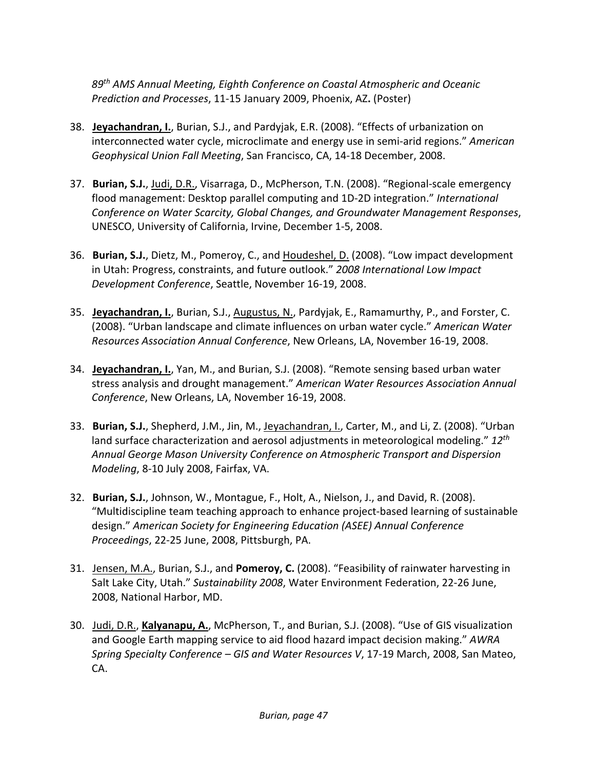*89th AMS Annual Meeting, Eighth Conference on Coastal Atmospheric and Oceanic Prediction and Processes*, 11‐15 January 2009, Phoenix, AZ**.** (Poster)

- 38. **Jeyachandran, I.**, Burian, S.J., and Pardyjak, E.R. (2008). "Effects of urbanization on interconnected water cycle, microclimate and energy use in semi‐arid regions." *American Geophysical Union Fall Meeting*, San Francisco, CA, 14‐18 December, 2008.
- 37. **Burian, S.J.**, Judi, D.R., Visarraga, D., McPherson, T.N. (2008). "Regional‐scale emergency flood management: Desktop parallel computing and 1D‐2D integration." *International Conference on Water Scarcity, Global Changes, and Groundwater Management Responses*, UNESCO, University of California, Irvine, December 1‐5, 2008.
- 36. **Burian, S.J.**, Dietz, M., Pomeroy, C., and Houdeshel, D. (2008). "Low impact development in Utah: Progress, constraints, and future outlook." *2008 International Low Impact Development Conference*, Seattle, November 16‐19, 2008.
- 35. **Jeyachandran, I.**, Burian, S.J., Augustus, N., Pardyjak, E., Ramamurthy, P., and Forster, C. (2008). "Urban landscape and climate influences on urban water cycle." *American Water Resources Association Annual Conference*, New Orleans, LA, November 16‐19, 2008.
- 34. **Jeyachandran, I.**, Yan, M., and Burian, S.J. (2008). "Remote sensing based urban water stress analysis and drought management." *American Water Resources Association Annual Conference*, New Orleans, LA, November 16‐19, 2008.
- 33. **Burian, S.J.**, Shepherd, J.M., Jin, M., Jeyachandran, I., Carter, M., and Li, Z. (2008). "Urban land surface characterization and aerosol adjustments in meteorological modeling." *12th Annual George Mason University Conference on Atmospheric Transport and Dispersion Modeling*, 8‐10 July 2008, Fairfax, VA.
- 32. **Burian, S.J.**, Johnson, W., Montague, F., Holt, A., Nielson, J., and David, R. (2008). "Multidiscipline team teaching approach to enhance project‐based learning of sustainable design." *American Society for Engineering Education (ASEE) Annual Conference Proceedings*, 22‐25 June, 2008, Pittsburgh, PA.
- 31. Jensen, M.A., Burian, S.J., and **Pomeroy, C.** (2008). "Feasibility of rainwater harvesting in Salt Lake City, Utah." *Sustainability 2008*, Water Environment Federation, 22‐26 June, 2008, National Harbor, MD.
- 30. Judi, D.R., **Kalyanapu, A.**, McPherson, T., and Burian, S.J. (2008). "Use of GIS visualization and Google Earth mapping service to aid flood hazard impact decision making." *AWRA Spring Specialty Conference – GIS and Water Resources V*, 17‐19 March, 2008, San Mateo, CA.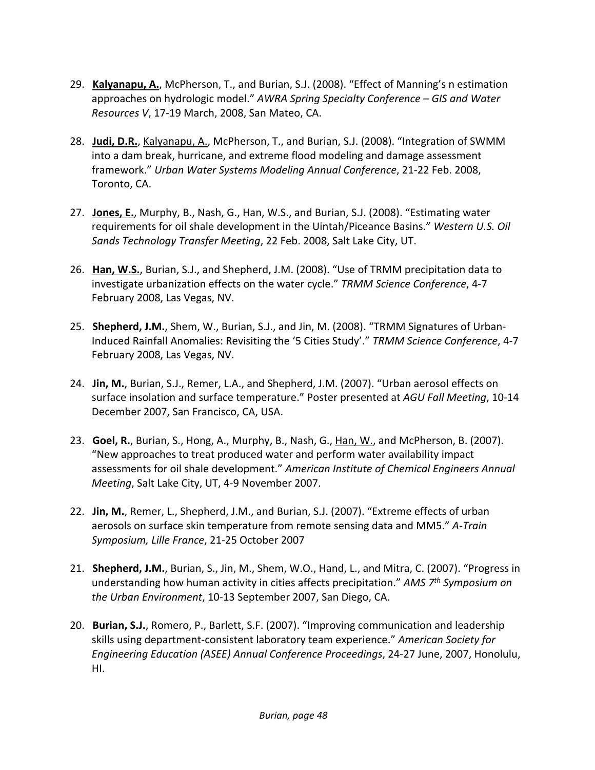- 29. **Kalyanapu, A.**, McPherson, T., and Burian, S.J. (2008). "Effect of Manning's n estimation approaches on hydrologic model." *AWRA Spring Specialty Conference – GIS and Water Resources V*, 17‐19 March, 2008, San Mateo, CA.
- 28. **Judi, D.R.**, Kalyanapu, A., McPherson, T., and Burian, S.J. (2008). "Integration of SWMM into a dam break, hurricane, and extreme flood modeling and damage assessment framework." *Urban Water Systems Modeling Annual Conference*, 21‐22 Feb. 2008, Toronto, CA.
- 27. **Jones, E.**, Murphy, B., Nash, G., Han, W.S., and Burian, S.J. (2008). "Estimating water requirements for oil shale development in the Uintah/Piceance Basins." *Western U.S. Oil Sands Technology Transfer Meeting*, 22 Feb. 2008, Salt Lake City, UT.
- 26. **Han, W.S.**, Burian, S.J., and Shepherd, J.M. (2008). "Use of TRMM precipitation data to investigate urbanization effects on the water cycle." *TRMM Science Conference*, 4‐7 February 2008, Las Vegas, NV.
- 25. **Shepherd, J.M.**, Shem, W., Burian, S.J., and Jin, M. (2008). "TRMM Signatures of Urban‐ Induced Rainfall Anomalies: Revisiting the '5 Cities Study'." *TRMM Science Conference*, 4‐7 February 2008, Las Vegas, NV.
- 24. **Jin, M.**, Burian, S.J., Remer, L.A., and Shepherd, J.M. (2007). "Urban aerosol effects on surface insolation and surface temperature." Poster presented at *AGU Fall Meeting*, 10‐14 December 2007, San Francisco, CA, USA.
- 23. **Goel, R.**, Burian, S., Hong, A., Murphy, B., Nash, G., Han, W., and McPherson, B. (2007). "New approaches to treat produced water and perform water availability impact assessments for oil shale development." *American Institute of Chemical Engineers Annual Meeting*, Salt Lake City, UT, 4‐9 November 2007.
- 22. **Jin, M.**, Remer, L., Shepherd, J.M., and Burian, S.J. (2007). "Extreme effects of urban aerosols on surface skin temperature from remote sensing data and MM5." *A‐Train Symposium, Lille France*, 21‐25 October 2007
- 21. **Shepherd, J.M.**, Burian, S., Jin, M., Shem, W.O., Hand, L., and Mitra, C. (2007). "Progress in understanding how human activity in cities affects precipitation." *AMS 7th Symposium on the Urban Environment*, 10‐13 September 2007, San Diego, CA.
- 20. **Burian, S.J.**, Romero, P., Barlett, S.F. (2007). "Improving communication and leadership skills using department‐consistent laboratory team experience." *American Society for Engineering Education (ASEE) Annual Conference Proceedings*, 24‐27 June, 2007, Honolulu, HI.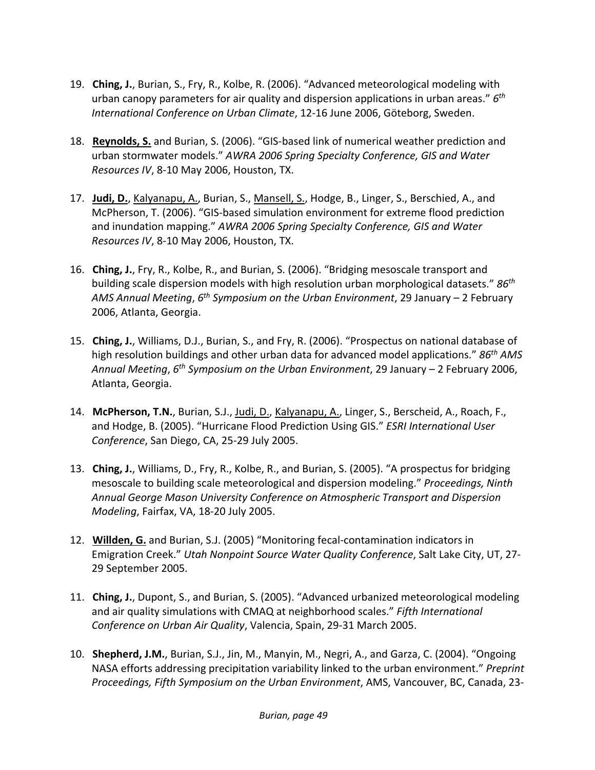- 19. **Ching, J.**, Burian, S., Fry, R., Kolbe, R. (2006). "Advanced meteorological modeling with urban canopy parameters for air quality and dispersion applications in urban areas." *6th International Conference on Urban Climate*, 12‐16 June 2006, Göteborg, Sweden.
- 18. **Reynolds, S.** and Burian, S. (2006). "GIS‐based link of numerical weather prediction and urban stormwater models." *AWRA 2006 Spring Specialty Conference, GIS and Water Resources IV*, 8‐10 May 2006, Houston, TX.
- 17. **Judi, D.**, Kalyanapu, A., Burian, S., Mansell, S., Hodge, B., Linger, S., Berschied, A., and McPherson, T. (2006). "GIS‐based simulation environment for extreme flood prediction and inundation mapping." *AWRA 2006 Spring Specialty Conference, GIS and Water Resources IV*, 8‐10 May 2006, Houston, TX.
- 16. **Ching, J.**, Fry, R., Kolbe, R., and Burian, S. (2006). "Bridging mesoscale transport and building scale dispersion models with high resolution urban morphological datasets." *86th AMS Annual Meeting*, *6th Symposium on the Urban Environment*, 29 January – 2 February 2006, Atlanta, Georgia.
- 15. **Ching, J.**, Williams, D.J., Burian, S., and Fry, R. (2006). "Prospectus on national database of high resolution buildings and other urban data for advanced model applications." *86th AMS Annual Meeting*, *6th Symposium on the Urban Environment*, 29 January – 2 February 2006, Atlanta, Georgia.
- 14. **McPherson, T.N.**, Burian, S.J., Judi, D., Kalyanapu, A., Linger, S., Berscheid, A., Roach, F., and Hodge, B. (2005). "Hurricane Flood Prediction Using GIS." *ESRI International User Conference*, San Diego, CA, 25‐29 July 2005.
- 13. **Ching, J.**, Williams, D., Fry, R., Kolbe, R., and Burian, S. (2005). "A prospectus for bridging mesoscale to building scale meteorological and dispersion modeling." *Proceedings, Ninth Annual George Mason University Conference on Atmospheric Transport and Dispersion Modeling*, Fairfax, VA, 18‐20 July 2005.
- 12. **Willden, G.** and Burian, S.J. (2005) "Monitoring fecal‐contamination indicators in Emigration Creek." *Utah Nonpoint Source Water Quality Conference*, Salt Lake City, UT, 27‐ 29 September 2005.
- 11. **Ching, J.**, Dupont, S., and Burian, S. (2005). "Advanced urbanized meteorological modeling and air quality simulations with CMAQ at neighborhood scales." *Fifth International Conference on Urban Air Quality*, Valencia, Spain, 29‐31 March 2005.
- 10. **Shepherd, J.M.**, Burian, S.J., Jin, M., Manyin, M., Negri, A., and Garza, C. (2004). "Ongoing NASA efforts addressing precipitation variability linked to the urban environment." *Preprint Proceedings, Fifth Symposium on the Urban Environment*, AMS, Vancouver, BC, Canada, 23‐